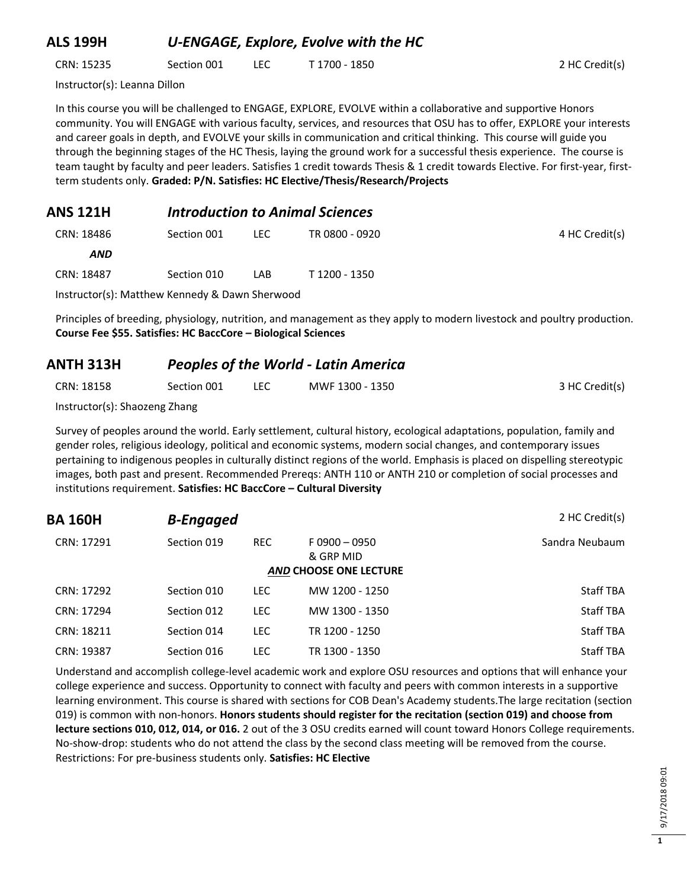#### **ALS 199H** *U-ENGAGE, Explore, Evolve with the HC*

CRN: 15235 Section 001 LEC T 1700 - 1850 2 HC Credit(s)

Instructor(s): Leanna Dillon

In this course you will be challenged to ENGAGE, EXPLORE, EVOLVE within a collaborative and supportive Honors community. You will ENGAGE with various faculty, services, and resources that OSU has to offer, EXPLORE your interests and career goals in depth, and EVOLVE your skills in communication and critical thinking. This course will guide you through the beginning stages of the HC Thesis, laying the ground work for a successful thesis experience. The course is team taught by faculty and peer leaders. Satisfies 1 credit towards Thesis & 1 credit towards Elective. For first-year, firstterm students only. **Graded: P/N. Satisfies: HC Elective/Thesis/Research/Projects**

#### **ANS 121H** *Introduction to Animal Sciences*

| CRN: 18486 | Section 001 | LEC.     | TR 0800 - 0920 | 4 HC Credit(s) |
|------------|-------------|----------|----------------|----------------|
| <b>AND</b> |             |          |                |                |
| CRN: 18487 | Section 010 | LAB.     | T 1200 - 1350  |                |
|            |             | $\sim$ 1 |                |                |

Instructor(s): Matthew Kennedy & Dawn Sherwood

Principles of breeding, physiology, nutrition, and management as they apply to modern livestock and poultry production. **Course Fee \$55. Satisfies: HC BaccCore – Biological Sciences**

## **ANTH 313H** *Peoples of the World - Latin America* CRN: 18158 Section 001 LEC MWF 1300 - 1350 3HC Credit(s)

Instructor(s): Shaozeng Zhang

Survey of peoples around the world. Early settlement, cultural history, ecological adaptations, population, family and gender roles, religious ideology, political and economic systems, modern social changes, and contemporary issues pertaining to indigenous peoples in culturally distinct regions of the world. Emphasis is placed on dispelling stereotypic images, both past and present. Recommended Prereqs: ANTH 110 or ANTH 210 or completion of social processes and institutions requirement. **Satisfies: HC BaccCore – Cultural Diversity**

| 2 HC Credit(s)   |                                                              |            | <b>B-Engaged</b> | <b>BA 160H</b> |
|------------------|--------------------------------------------------------------|------------|------------------|----------------|
| Sandra Neubaum   | $F0900 - 0950$<br>& GRP MID<br><b>AND CHOOSE ONE LECTURE</b> | <b>REC</b> | Section 019      | CRN: 17291     |
| <b>Staff TBA</b> | MW 1200 - 1250                                               | LEC.       | Section 010      | CRN: 17292     |
| <b>Staff TBA</b> | MW 1300 - 1350                                               | <b>LEC</b> | Section 012      | CRN: 17294     |
| <b>Staff TBA</b> | TR 1200 - 1250                                               | LEC.       | Section 014      | CRN: 18211     |
| <b>Staff TBA</b> | TR 1300 - 1350                                               | LEC.       | Section 016      | CRN: 19387     |

Understand and accomplish college-level academic work and explore OSU resources and options that will enhance your college experience and success. Opportunity to connect with faculty and peers with common interests in a supportive learning environment. This course is shared with sections for COB Dean's Academy students.The large recitation (section 019) is common with non-honors. **Honors students should register for the recitation (section 019) and choose from lecture sections 010, 012, 014, or 016.** 2 out of the 3 OSU credits earned will count toward Honors College requirements. No-show-drop: students who do not attend the class by the second class meeting will be removed from the course. Restrictions: For pre-business students only. **Satisfies: HC Elective**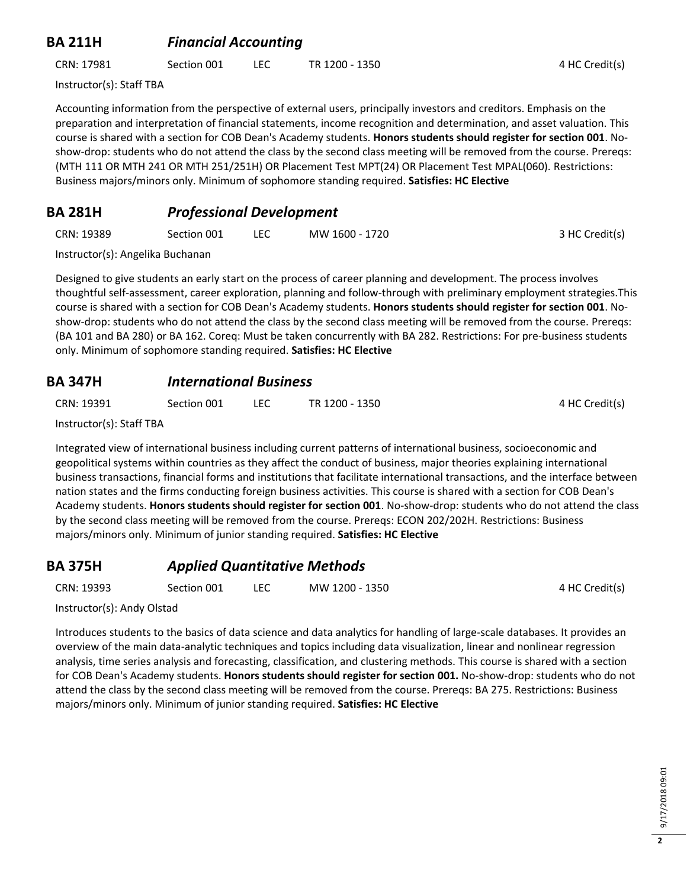### **BA 211H** *Financial Accounting*

CRN: 17981 Section 001 LEC TR 1200 - 1350 4 HC Credit(s)

Instructor(s): Staff TBA

Accounting information from the perspective of external users, principally investors and creditors. Emphasis on the preparation and interpretation of financial statements, income recognition and determination, and asset valuation. This course is shared with a section for COB Dean's Academy students. **Honors students should register for section 001**. Noshow-drop: students who do not attend the class by the second class meeting will be removed from the course. Prereqs: (MTH 111 OR MTH 241 OR MTH 251/251H) OR Placement Test MPT(24) OR Placement Test MPAL(060). Restrictions: Business majors/minors only. Minimum of sophomore standing required. **Satisfies: HC Elective**

### **BA 281H** *Professional Development*

| CRN: 19389 | Section 001 | MW 1600 - 1720 | 3 HC Credit(s) |
|------------|-------------|----------------|----------------|
|            |             |                |                |

Instructor(s): Angelika Buchanan

Designed to give students an early start on the process of career planning and development. The process involves thoughtful self-assessment, career exploration, planning and follow-through with preliminary employment strategies.This course is shared with a section for COB Dean's Academy students. **Honors students should register for section 001**. Noshow-drop: students who do not attend the class by the second class meeting will be removed from the course. Prereqs: (BA 101 and BA 280) or BA 162. Coreq: Must be taken concurrently with BA 282. Restrictions: For pre-business students only. Minimum of sophomore standing required. **Satisfies: HC Elective**

#### **BA 347H** *International Business*

| CRN: 19391 | Section 001 | TR 1200 - 1350 | 4 HC Credit(s) |
|------------|-------------|----------------|----------------|
|            |             |                |                |

Instructor(s): Staff TBA

Integrated view of international business including current patterns of international business, socioeconomic and geopolitical systems within countries as they affect the conduct of business, major theories explaining international business transactions, financial forms and institutions that facilitate international transactions, and the interface between nation states and the firms conducting foreign business activities. This course is shared with a section for COB Dean's Academy students. **Honors students should register for section 001**. No-show-drop: students who do not attend the class by the second class meeting will be removed from the course. Prereqs: ECON 202/202H. Restrictions: Business majors/minors only. Minimum of junior standing required. **Satisfies: HC Elective**

## **BA 375H** *Applied Quantitative Methods*

CRN: 19393 Section 001 LEC MW 1200 - 1350 4 HC Credit(s)

Instructor(s): Andy Olstad

Introduces students to the basics of data science and data analytics for handling of large-scale databases. It provides an overview of the main data-analytic techniques and topics including data visualization, linear and nonlinear regression analysis, time series analysis and forecasting, classification, and clustering methods. This course is shared with a section for COB Dean's Academy students. **Honors students should register for section 001.** No-show-drop: students who do not attend the class by the second class meeting will be removed from the course. Prereqs: BA 275. Restrictions: Business majors/minors only. Minimum of junior standing required. **Satisfies: HC Elective**

**2**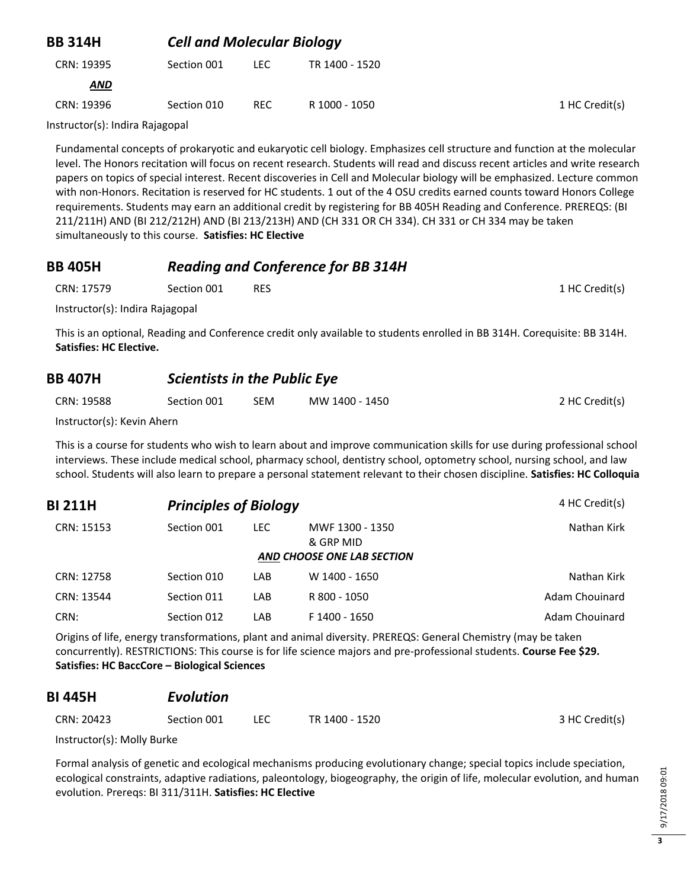| <b>BB 314H</b> | <b>Cell and Molecular Biology</b> |      |                |                |
|----------------|-----------------------------------|------|----------------|----------------|
| CRN: 19395     | Section 001                       | LEC. | TR 1400 - 1520 |                |
| <b>AND</b>     |                                   |      |                |                |
| CRN: 19396     | Section 010                       | REC. | R 1000 - 1050  | 1 HC Credit(s) |

Instructor(s): Indira Rajagopal

Fundamental concepts of prokaryotic and eukaryotic cell biology. Emphasizes cell structure and function at the molecular level. The Honors recitation will focus on recent research. Students will read and discuss recent articles and write research papers on topics of special interest. Recent discoveries in Cell and Molecular biology will be emphasized. Lecture common with non-Honors. Recitation is reserved for HC students. 1 out of the 4 OSU credits earned counts toward Honors College requirements. Students may earn an additional credit by registering for BB 405H Reading and Conference. PREREQS: (BI 211/211H) AND (BI 212/212H) AND (BI 213/213H) AND (CH 331 OR CH 334). CH 331 or CH 334 may be taken simultaneously to this course. **Satisfies: HC Elective**

#### **BB 405H** *Reading and Conference for BB 314H*

| CRN: 17579 | Section 001 | RES |  | 1 HC Credit(s) |
|------------|-------------|-----|--|----------------|
|------------|-------------|-----|--|----------------|

Instructor(s): Indira Rajagopal

This is an optional, Reading and Conference credit only available to students enrolled in BB 314H. Corequisite: BB 314H. **Satisfies: HC Elective.**

#### **BB 407H** *Scientists in the Public Eye*

| CRN: 19588 | Section 001 | <b>SEM</b> | MW 1400 - 1450 | 2 HC Credit(s) |
|------------|-------------|------------|----------------|----------------|
|            |             |            |                |                |

Instructor(s): Kevin Ahern

This is a course for students who wish to learn about and improve communication skills for use during professional school interviews. These include medical school, pharmacy school, dentistry school, optometry school, nursing school, and law school. Students will also learn to prepare a personal statement relevant to their chosen discipline. **Satisfies: HC Colloquia**

| 4 HC Credit(s) |                              | <b>Principles of Biology</b> | <b>BI 211H</b> |            |
|----------------|------------------------------|------------------------------|----------------|------------|
| Nathan Kirk    | MWF 1300 - 1350<br>& GRP MID | LEC.                         | Section 001    | CRN: 15153 |
|                | AND CHOOSE ONE LAB SECTION   |                              |                |            |
| Nathan Kirk    | W 1400 - 1650                | LAB.                         | Section 010    | CRN: 12758 |
| Adam Chouinard | R 800 - 1050                 | LAB.                         | Section 011    | CRN: 13544 |
| Adam Chouinard | F 1400 - 1650                | LAB                          | Section 012    | CRN:       |

Origins of life, energy transformations, plant and animal diversity. PREREQS: General Chemistry (may be taken concurrently). RESTRICTIONS: This course is for life science majors and pre-professional students. **Course Fee \$29. Satisfies: HC BaccCore – Biological Sciences**

## **BI 445H** *Evolution*

| CRN: 20423 | Section 001 | TR 1400 - 1520 | 3 HC Credit(s) |
|------------|-------------|----------------|----------------|
|            |             |                |                |

Instructor(s): Molly Burke

Formal analysis of genetic and ecological mechanisms producing evolutionary change; special topics include speciation, ecological constraints, adaptive radiations, paleontology, biogeography, the origin of life, molecular evolution, and human evolution. Prereqs: BI 311/311H. **Satisfies: HC Elective**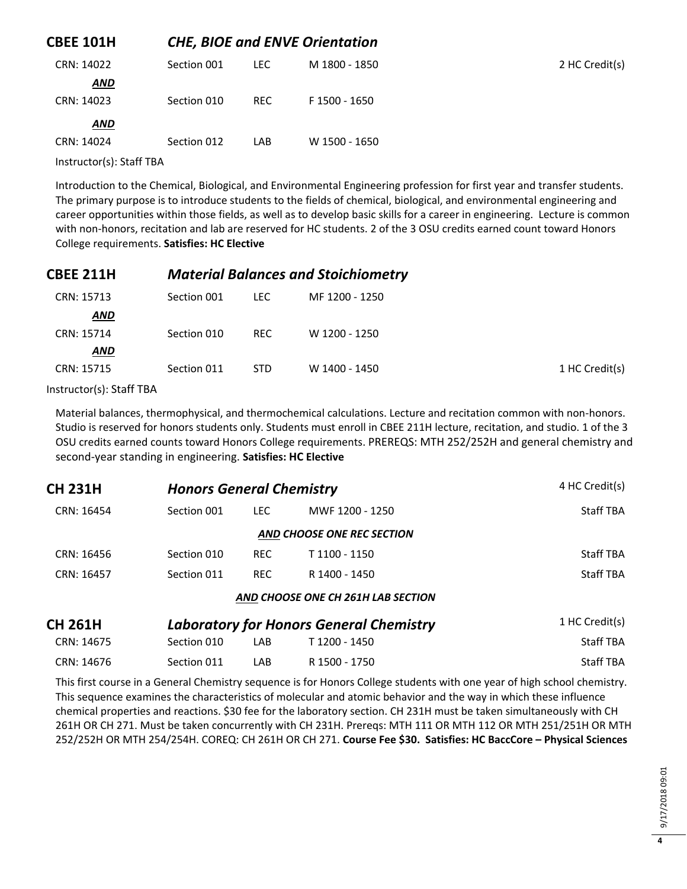| <b>CBEE 101H</b> |             | <b>CHE, BIOE and ENVE Orientation</b> |               |                |
|------------------|-------------|---------------------------------------|---------------|----------------|
| CRN: 14022       | Section 001 | LEC.                                  | M 1800 - 1850 | 2 HC Credit(s) |
| <b>AND</b>       |             |                                       |               |                |
| CRN: 14023       | Section 010 | REC.                                  | F 1500 - 1650 |                |
| <b>AND</b>       |             |                                       |               |                |
| CRN: 14024       | Section 012 | LAB                                   | W 1500 - 1650 |                |

Instructor(s): Staff TBA

Introduction to the Chemical, Biological, and Environmental Engineering profession for first year and transfer students. The primary purpose is to introduce students to the fields of chemical, biological, and environmental engineering and career opportunities within those fields, as well as to develop basic skills for a career in engineering. Lecture is common with non-honors, recitation and lab are reserved for HC students. 2 of the 3 OSU credits earned count toward Honors College requirements. **Satisfies: HC Elective**

| <b>CBEE 211H</b> |             | <b>Material Balances and Stoichiometry</b> |                |                |
|------------------|-------------|--------------------------------------------|----------------|----------------|
| CRN: 15713       | Section 001 | LEC.                                       | MF 1200 - 1250 |                |
| AND              |             |                                            |                |                |
| CRN: 15714       | Section 010 | <b>REC</b>                                 | W 1200 - 1250  |                |
| <b>AND</b>       |             |                                            |                |                |
| CRN: 15715       | Section 011 | <b>STD</b>                                 | W 1400 - 1450  | 1 HC Credit(s) |
|                  |             |                                            |                |                |

Instructor(s): Staff TBA

Material balances, thermophysical, and thermochemical calculations. Lecture and recitation common with non-honors. Studio is reserved for honors students only. Students must enroll in CBEE 211H lecture, recitation, and studio. 1 of the 3 OSU credits earned counts toward Honors College requirements. PREREQS: MTH 252/252H and general chemistry and second-year standing in engineering. **Satisfies: HC Elective**

| <b>CH 231H</b> |             | <b>Honors General Chemistry</b> |                                                |                |
|----------------|-------------|---------------------------------|------------------------------------------------|----------------|
| CRN: 16454     | Section 001 | LEC.                            | MWF 1200 - 1250                                | Staff TBA      |
|                |             |                                 | AND CHOOSE ONE REC SECTION                     |                |
| CRN: 16456     | Section 010 | <b>REC</b>                      | T 1100 - 1150                                  | Staff TBA      |
| CRN: 16457     | Section 011 | <b>REC</b>                      | R 1400 - 1450                                  | Staff TBA      |
|                |             |                                 | AND CHOOSE ONE CH 261H LAB SECTION             |                |
| <b>CH 261H</b> |             |                                 | <b>Laboratory for Honors General Chemistry</b> | 1 HC Credit(s) |
| CRN: 14675     | Section 010 | LAB                             | T 1200 - 1450                                  | Staff TBA      |

This first course in a General Chemistry sequence is for Honors College students with one year of high school chemistry. This sequence examines the characteristics of molecular and atomic behavior and the way in which these influence chemical properties and reactions. \$30 fee for the laboratory section. CH 231H must be taken simultaneously with CH 261H OR CH 271. Must be taken concurrently with CH 231H. Prereqs: MTH 111 OR MTH 112 OR MTH 251/251H OR MTH 252/252H OR MTH 254/254H. COREQ: CH 261H OR CH 271. **Course Fee \$30. Satisfies: HC BaccCore – Physical Sciences**

CRN: 14676 Section 011 LAB R 1500 - 1750 Staff TBA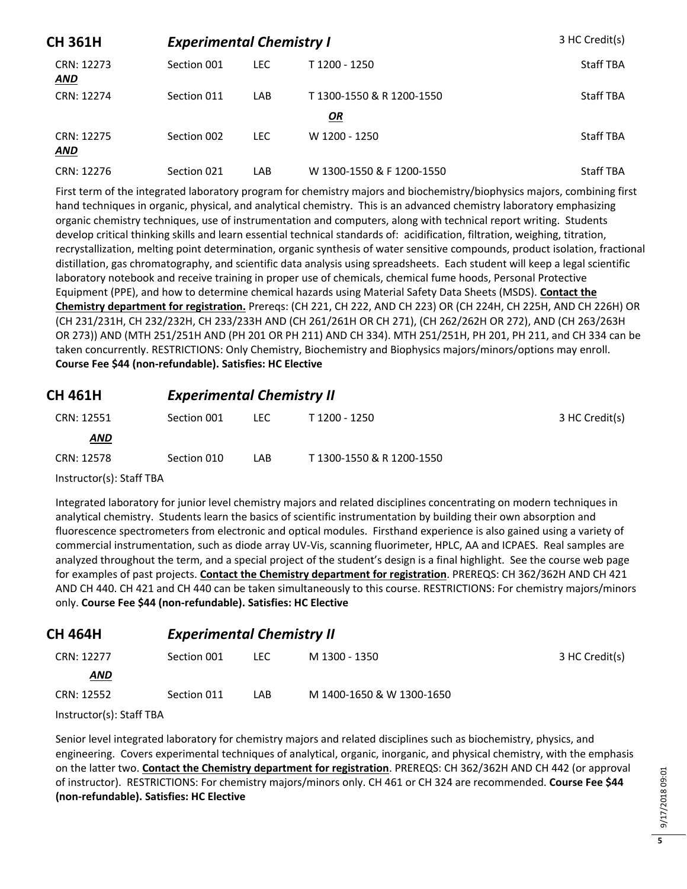| <b>CH 361H</b>           | <b>Experimental Chemistry I</b> |            |                           | 3 HC Credit(s)   |
|--------------------------|---------------------------------|------------|---------------------------|------------------|
| CRN: 12273<br><b>AND</b> | Section 001                     | <b>LEC</b> | T 1200 - 1250             | <b>Staff TBA</b> |
| CRN: 12274               | Section 011                     | LAB        | T1300-1550 & R1200-1550   | <b>Staff TBA</b> |
|                          |                                 |            | OR                        |                  |
| CRN: 12275<br><b>AND</b> | Section 002                     | LEC.       | W 1200 - 1250             | <b>Staff TBA</b> |
| CRN: 12276               | Section 021                     | LAB        | W 1300-1550 & F 1200-1550 | <b>Staff TBA</b> |

First term of the integrated laboratory program for chemistry majors and biochemistry/biophysics majors, combining first hand techniques in organic, physical, and analytical chemistry. This is an advanced chemistry laboratory emphasizing organic chemistry techniques, use of instrumentation and computers, along with technical report writing. Students develop critical thinking skills and learn essential technical standards of: acidification, filtration, weighing, titration, recrystallization, melting point determination, organic synthesis of water sensitive compounds, product isolation, fractional distillation, gas chromatography, and scientific data analysis using spreadsheets. Each student will keep a legal scientific laboratory notebook and receive training in proper use of chemicals, chemical fume hoods, Personal Protective Equipment (PPE), and how to determine chemical hazards using Material Safety Data Sheets (MSDS). **Contact the Chemistry department for registration.** Prereqs: (CH 221, CH 222, AND CH 223) OR (CH 224H, CH 225H, AND CH 226H) OR (CH 231/231H, CH 232/232H, CH 233/233H AND (CH 261/261H OR CH 271), (CH 262/262H OR 272), AND (CH 263/263H OR 273)) AND (MTH 251/251H AND (PH 201 OR PH 211) AND CH 334). MTH 251/251H, PH 201, PH 211, and CH 334 can be taken concurrently. RESTRICTIONS: Only Chemistry, Biochemistry and Biophysics majors/minors/options may enroll. **Course Fee \$44 (non-refundable). Satisfies: HC Elective**

#### **CH 461H** *Experimental Chemistry II*

| CRN: 12551               | Section 001 | LEC. | T 1200 - 1250             | 3 HC Credit(s) |
|--------------------------|-------------|------|---------------------------|----------------|
| <b>AND</b>               |             |      |                           |                |
| CRN: 12578               | Section 010 | LAB. | T 1300-1550 & R 1200-1550 |                |
| Instructor(s): Staff TBA |             |      |                           |                |

Integrated laboratory for junior level chemistry majors and related disciplines concentrating on modern techniques in analytical chemistry. Students learn the basics of scientific instrumentation by building their own absorption and fluorescence spectrometers from electronic and optical modules. Firsthand experience is also gained using a variety of commercial instrumentation, such as diode array UV-Vis, scanning fluorimeter, HPLC, AA and ICPAES. Real samples are analyzed throughout the term, and a special project of the student's design is a final highlight. See the course web page for examples of past projects. **Contact the Chemistry department for registration**. PREREQS: CH 362/362H AND CH 421 AND CH 440. CH 421 and CH 440 can be taken simultaneously to this course. RESTRICTIONS: For chemistry majors/minors only. **Course Fee \$44 (non-refundable). Satisfies: HC Elective**

| <b>CH 464H</b> | <b>Experimental Chemistry II</b> |      |                           |                |
|----------------|----------------------------------|------|---------------------------|----------------|
| CRN: 12277     | Section 001                      | LEC. | M 1300 - 1350             | 3 HC Credit(s) |
| <b>AND</b>     |                                  |      |                           |                |
| CRN: 12552     | Section 011                      | LAB  | M 1400-1650 & W 1300-1650 |                |

Instructor(s): Staff TBA

Senior level integrated laboratory for chemistry majors and related disciplines such as biochemistry, physics, and engineering. Covers experimental techniques of analytical, organic, inorganic, and physical chemistry, with the emphasis on the latter two. **Contact the Chemistry department for registration**. PREREQS: CH 362/362H AND CH 442 (or approval of instructor). RESTRICTIONS: For chemistry majors/minors only. CH 461 or CH 324 are recommended. **Course Fee \$44 (non-refundable). Satisfies: HC Elective**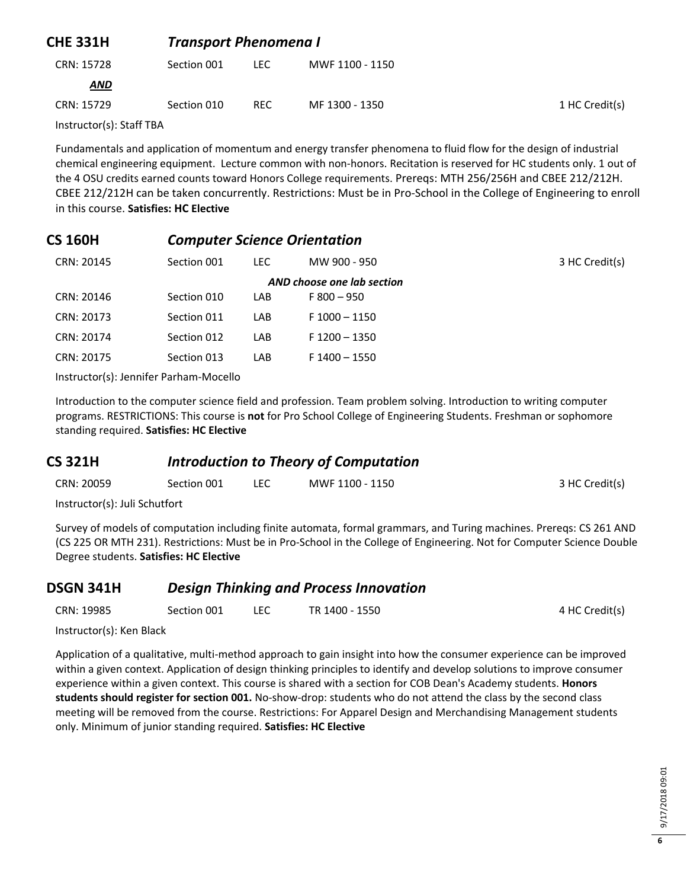| <b>CHE 331H</b> | <b>Transport Phenomena I</b> |            |                 |                |
|-----------------|------------------------------|------------|-----------------|----------------|
| CRN: 15728      | Section 001                  | LEC.       | MWF 1100 - 1150 |                |
| <b>AND</b>      |                              |            |                 |                |
| CRN: 15729      | Section 010                  | <b>REC</b> | MF 1300 - 1350  | 1 HC Credit(s) |
| $\blacksquare$  |                              |            |                 |                |

Instructor(s): Staff TBA

Fundamentals and application of momentum and energy transfer phenomena to fluid flow for the design of industrial chemical engineering equipment. Lecture common with non-honors. Recitation is reserved for HC students only. 1 out of the 4 OSU credits earned counts toward Honors College requirements. Prereqs: MTH 256/256H and CBEE 212/212H. CBEE 212/212H can be taken concurrently. Restrictions: Must be in Pro-School in the College of Engineering to enroll in this course. **Satisfies: HC Elective**

#### **CS 160H** *Computer Science Orientation*

| CRN: 20145 | Section 001                | LEC. | MW 900 - 950    | 3 HC Credit(s) |  |  |
|------------|----------------------------|------|-----------------|----------------|--|--|
|            | AND choose one lab section |      |                 |                |  |  |
| CRN: 20146 | Section 010                | LAB. | $F800 - 950$    |                |  |  |
| CRN: 20173 | Section 011                | LAB. | $F 1000 - 1150$ |                |  |  |
| CRN: 20174 | Section 012                | LAB  | $F$ 1200 - 1350 |                |  |  |
| CRN: 20175 | Section 013                | LAB  | $F$ 1400 - 1550 |                |  |  |
|            |                            |      |                 |                |  |  |

Instructor(s): Jennifer Parham-Mocello

Introduction to the computer science field and profession. Team problem solving. Introduction to writing computer programs. RESTRICTIONS: This course is **not** for Pro School College of Engineering Students. Freshman or sophomore standing required. **Satisfies: HC Elective**

#### **CS 321H** *Introduction to Theory of Computation*

| CRN: 20059                                                   | Section 001 | MWF 1100 - 1150 | 3 HC Credit(s) |
|--------------------------------------------------------------|-------------|-----------------|----------------|
| the extreme strength and control of Contemporary and the set |             |                 |                |

Instructor(s): Juli Schutfort

Survey of models of computation including finite automata, formal grammars, and Turing machines. Prereqs: CS 261 AND (CS 225 OR MTH 231). Restrictions: Must be in Pro-School in the College of Engineering. Not for Computer Science Double Degree students. **Satisfies: HC Elective**

#### **DSGN 341H** *Design Thinking and Process Innovation*

| CRN: 19985 | Section 001 |  | TR 1400 - 1550 | 4 HC Credit(s) |
|------------|-------------|--|----------------|----------------|
|------------|-------------|--|----------------|----------------|

Instructor(s): Ken Black

Application of a qualitative, multi-method approach to gain insight into how the consumer experience can be improved within a given context. Application of design thinking principles to identify and develop solutions to improve consumer experience within a given context. This course is shared with a section for COB Dean's Academy students. **Honors students should register for section 001.** No-show-drop: students who do not attend the class by the second class meeting will be removed from the course. Restrictions: For Apparel Design and Merchandising Management students only. Minimum of junior standing required. **Satisfies: HC Elective**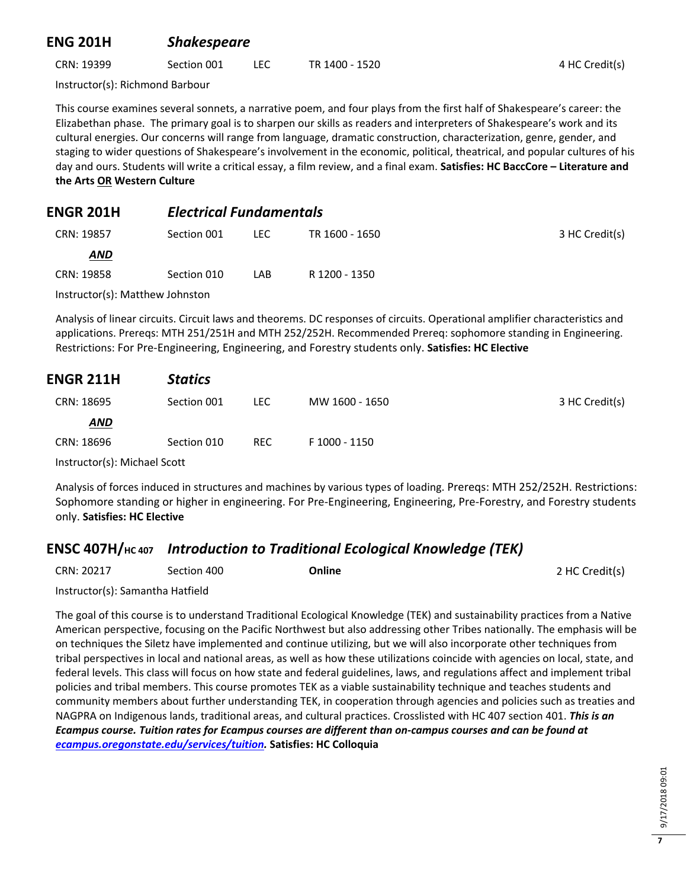### **ENG 201H** *Shakespeare*

CRN: 19399 Section 001 LEC TR 1400 - 1520 4 HC Credit(s)

Instructor(s): Richmond Barbour

This course examines several sonnets, a narrative poem, and four plays from the first half of Shakespeare's career: the Elizabethan phase. The primary goal is to sharpen our skills as readers and interpreters of Shakespeare's work and its cultural energies. Our concerns will range from language, dramatic construction, characterization, genre, gender, and staging to wider questions of Shakespeare's involvement in the economic, political, theatrical, and popular cultures of his day and ours. Students will write a critical essay, a film review, and a final exam. **Satisfies: HC BaccCore – Literature and the Arts OR Western Culture**

#### **ENGR 201H** *Electrical Fundamentals*

| CRN: 19857                      | Section 001 | LEC. | TR 1600 - 1650 | 3 HC Credit(s) |
|---------------------------------|-------------|------|----------------|----------------|
| <u>AND</u>                      |             |      |                |                |
| CRN: 19858                      | Section 010 | LAB  | R 1200 - 1350  |                |
| Instructor(s): Matthew Johnston |             |      |                |                |

Analysis of linear circuits. Circuit laws and theorems. DC responses of circuits. Operational amplifier characteristics and applications. Prereqs: MTH 251/251H and MTH 252/252H. Recommended Prereq: sophomore standing in Engineering. Restrictions: For Pre-Engineering, Engineering, and Forestry students only. **Satisfies: HC Elective**

| <b>ENGR 211H</b> | <b>Statics</b> |            |                |                |
|------------------|----------------|------------|----------------|----------------|
| CRN: 18695       | Section 001    | LEC.       | MW 1600 - 1650 | 3 HC Credit(s) |
| <b>AND</b>       |                |            |                |                |
| CRN: 18696       | Section 010    | <b>REC</b> | F 1000 - 1150  |                |
| $\blacksquare$   |                |            |                |                |

Instructor(s): Michael Scott

Analysis of forces induced in structures and machines by various types of loading. Prereqs: MTH 252/252H. Restrictions: Sophomore standing or higher in engineering. For Pre-Engineering, Engineering, Pre-Forestry, and Forestry students only. **Satisfies: HC Elective**

## **ENSC 407H/HC 407** *Introduction to Traditional Ecological Knowledge (TEK)*

| CRN: 20217 | Section 400 | Online | 2 HC Credit(s) |
|------------|-------------|--------|----------------|
|------------|-------------|--------|----------------|

Instructor(s): Samantha Hatfield

The goal of this course is to understand Traditional Ecological Knowledge (TEK) and sustainability practices from a Native American perspective, focusing on the Pacific Northwest but also addressing other Tribes nationally. The emphasis will be on techniques the Siletz have implemented and continue utilizing, but we will also incorporate other techniques from tribal perspectives in local and national areas, as well as how these utilizations coincide with agencies on local, state, and federal levels. This class will focus on how state and federal guidelines, laws, and regulations affect and implement tribal policies and tribal members. This course promotes TEK as a viable sustainability technique and teaches students and community members about further understanding TEK, in cooperation through agencies and policies such as treaties and NAGPRA on Indigenous lands, traditional areas, and cultural practices. Crosslisted with HC 407 section 401. *This is an Ecampus course. Tuition rates for Ecampus courses are different than on-campus courses and can be found at [ecampus.oregonstate.edu/services/tuition.](https://ecampus.oregonstate.edu/services/tuition/)* **Satisfies: HC Colloquia**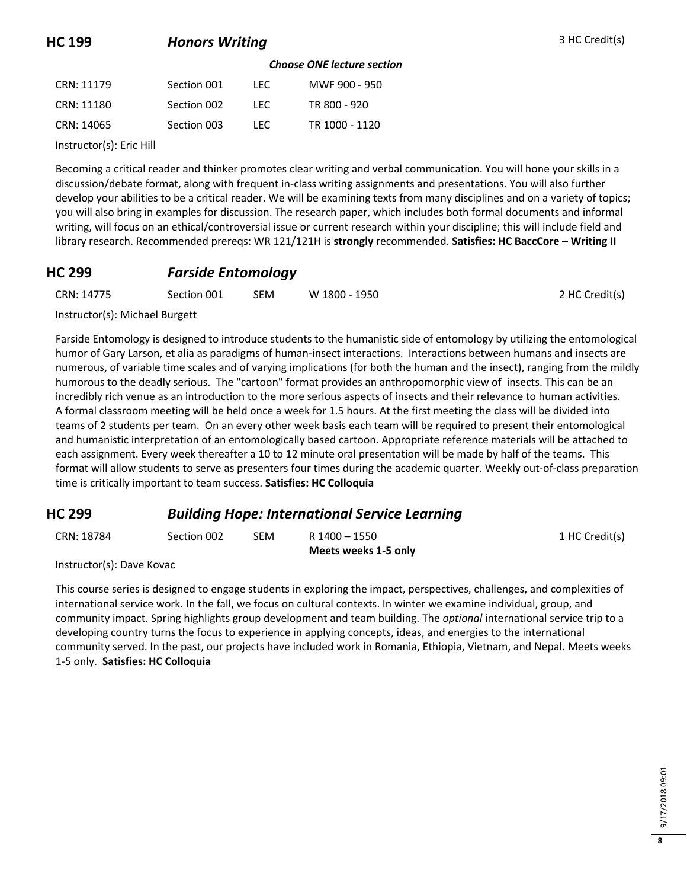## **HC 199 Honors Writing 3 HC Credit(s)**

#### *Choose ONE lecture section*

| CRN: 11179 | Section 001 | LEC. | MWF 900 - 950  |
|------------|-------------|------|----------------|
| CRN: 11180 | Section 002 | TEC. | TR 800 - 920   |
| CRN: 14065 | Section 003 | LEC. | TR 1000 - 1120 |

Instructor(s): Eric Hill

Becoming a critical reader and thinker promotes clear writing and verbal communication. You will hone your skills in a discussion/debate format, along with frequent in-class writing assignments and presentations. You will also further develop your abilities to be a critical reader. We will be examining texts from many disciplines and on a variety of topics; you will also bring in examples for discussion. The research paper, which includes both formal documents and informal writing, will focus on an ethical/controversial issue or current research within your discipline; this will include field and library research. Recommended prereqs: WR 121/121H is **strongly** recommended. **Satisfies: HC BaccCore – Writing II**

#### **HC 299** *Farside Entomology*

| CRN: 14775 | Section 001 | <b>SEM</b> | W 1800 - 1950 | 2 HC Credit(s) |
|------------|-------------|------------|---------------|----------------|
|            |             |            |               |                |

Instructor(s): Michael Burgett

Farside Entomology is designed to introduce students to the humanistic side of entomology by utilizing the entomological humor of Gary Larson, et alia as paradigms of human-insect interactions. Interactions between humans and insects are numerous, of variable time scales and of varying implications (for both the human and the insect), ranging from the mildly humorous to the deadly serious. The "cartoon" format provides an anthropomorphic view of insects. This can be an incredibly rich venue as an introduction to the more serious aspects of insects and their relevance to human activities. A formal classroom meeting will be held once a week for 1.5 hours. At the first meeting the class will be divided into teams of 2 students per team. On an every other week basis each team will be required to present their entomological and humanistic interpretation of an entomologically based cartoon. Appropriate reference materials will be attached to each assignment. Every week thereafter a 10 to 12 minute oral presentation will be made by half of the teams. This format will allow students to serve as presenters four times during the academic quarter. Weekly out-of-class preparation time is critically important to team success. **Satisfies: HC Colloquia**

#### **HC 299** *Building Hope: International Service Learning*

| CRN: 18784 | Section 002 | SEM | R 1400 - 1550        | 1 HC Credit(s) |
|------------|-------------|-----|----------------------|----------------|
|            |             |     | Meets weeks 1-5 only |                |

Instructor(s): Dave Kovac

This course series is designed to engage students in exploring the impact, perspectives, challenges, and complexities of international service work. In the fall, we focus on cultural contexts. In winter we examine individual, group, and community impact. Spring highlights group development and team building. The *optional* international service trip to a developing country turns the focus to experience in applying concepts, ideas, and energies to the international community served. In the past, our projects have included work in Romania, Ethiopia, Vietnam, and Nepal. Meets weeks 1-5 only. **Satisfies: HC Colloquia**

**8**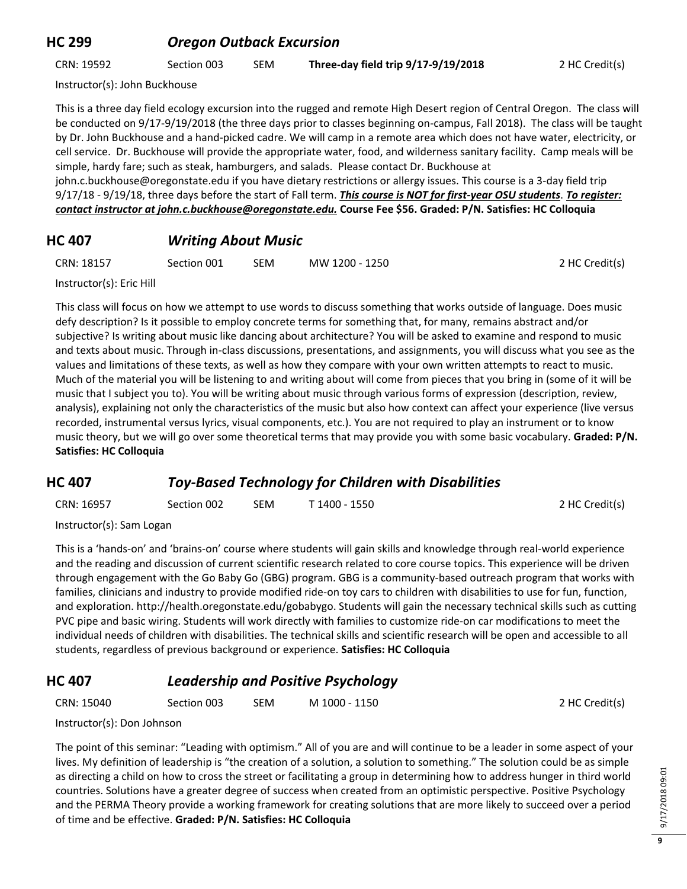#### **HC 299** *Oregon Outback Excursion*

CRN: 19592 Section 003 SEM **Three-day field trip 9/17-9/19/2018** 2 HC Credit(s)

Instructor(s): John Buckhouse

This is a three day field ecology excursion into the rugged and remote High Desert region of Central Oregon. The class will be conducted on 9/17-9/19/2018 (the three days prior to classes beginning on-campus, Fall 2018). The class will be taught by Dr. John Buckhouse and a hand-picked cadre. We will camp in a remote area which does not have water, electricity, or cell service. Dr. Buckhouse will provide the appropriate water, food, and wilderness sanitary facility. Camp meals will be simple, hardy fare; such as steak, hamburgers, and salads. Please contact Dr. Buckhouse at john.c.buckhouse@oregonstate.edu if you have dietary restrictions or allergy issues. This course is a 3-day field trip 9/17/18 - 9/19/18, three days before the start of Fall term. *This course is NOT for first-year OSU students*. *To register: contact instructor at john.c.buckhouse@oregonstate.edu.* **Course Fee \$56. Graded: P/N. Satisfies: HC Colloquia**

## **HC 407** *Writing About Music*

CRN: 18157 Section 001 SEM MW 1200 - 1250 2 HC Credit(s)

Instructor(s): Eric Hill

This class will focus on how we attempt to use words to discuss something that works outside of language. Does music defy description? Is it possible to employ concrete terms for something that, for many, remains abstract and/or subjective? Is writing about music like dancing about architecture? You will be asked to examine and respond to music and texts about music. Through in-class discussions, presentations, and assignments, you will discuss what you see as the values and limitations of these texts, as well as how they compare with your own written attempts to react to music. Much of the material you will be listening to and writing about will come from pieces that you bring in (some of it will be music that I subject you to). You will be writing about music through various forms of expression (description, review, analysis), explaining not only the characteristics of the music but also how context can affect your experience (live versus recorded, instrumental versus lyrics, visual components, etc.). You are not required to play an instrument or to know music theory, but we will go over some theoretical terms that may provide you with some basic vocabulary. **Graded: P/N. Satisfies: HC Colloquia**

#### **HC 407** *Toy-Based Technology for Children with Disabilities*

| CRN: 16957              | Section 002 | <b>SEM</b> | T 1400 - 1550 | 2 HC Credit(s) |
|-------------------------|-------------|------------|---------------|----------------|
| $In the total of the 0$ |             |            |               |                |

Instructor(s): Sam Logan

This is a 'hands-on' and 'brains-on' course where students will gain skills and knowledge through real-world experience and the reading and discussion of current scientific research related to core course topics. This experience will be driven through engagement with the Go Baby Go (GBG) program. GBG is a community-based outreach program that works with families, clinicians and industry to provide modified ride-on toy cars to children with disabilities to use for fun, function, and exploration. http://health.oregonstate.edu/gobabygo. Students will gain the necessary technical skills such as cutting PVC pipe and basic wiring. Students will work directly with families to customize ride-on car modifications to meet the individual needs of children with disabilities. The technical skills and scientific research will be open and accessible to all students, regardless of previous background or experience. **Satisfies: HC Colloquia**

## **HC 407** *Leadership and Positive Psychology*

CRN: 15040 Section 003 SEM M 1000 - 1150 2 HC Credit(s)

Instructor(s): Don Johnson

The point of this seminar: "Leading with optimism." All of you are and will continue to be a leader in some aspect of your lives. My definition of leadership is "the creation of a solution, a solution to something." The solution could be as simple as directing a child on how to cross the street or facilitating a group in determining how to address hunger in third world countries. Solutions have a greater degree of success when created from an optimistic perspective. Positive Psychology and the PERMA Theory provide a working framework for creating solutions that are more likely to succeed over a period of time and be effective. **Graded: P/N. Satisfies: HC Colloquia**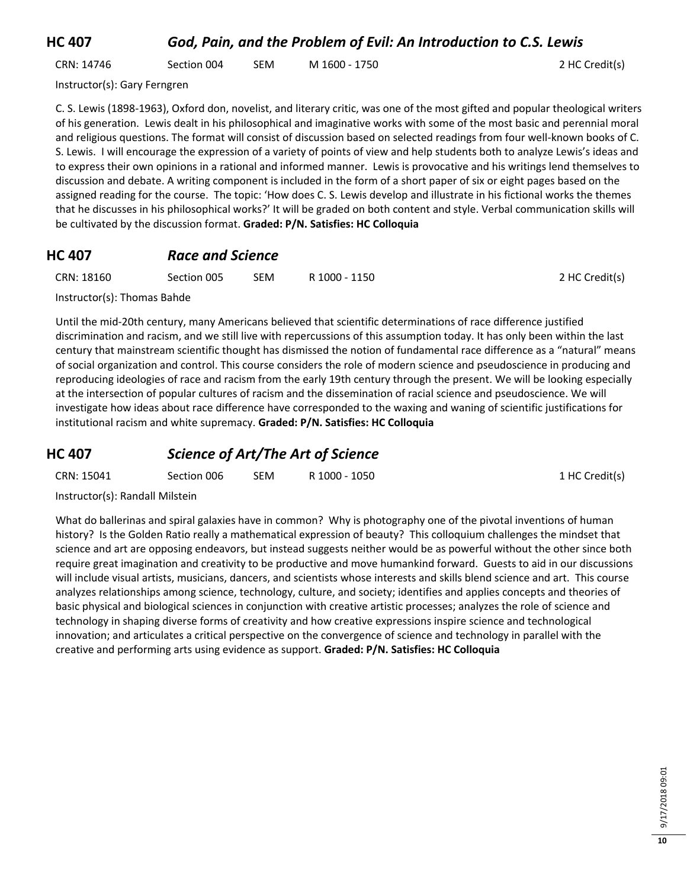## **HC 407** *God, Pain, and the Problem of Evil: An Introduction to C.S. Lewis*

| CRN: 14746<br>M 1600 - 1750<br><b>SEM</b><br>Section 004 | 2 HC Credit(s) |
|----------------------------------------------------------|----------------|
|----------------------------------------------------------|----------------|

Instructor(s): Gary Ferngren

C. S. Lewis (1898-1963), Oxford don, novelist, and literary critic, was one of the most gifted and popular theological writers of his generation. Lewis dealt in his philosophical and imaginative works with some of the most basic and perennial moral and religious questions. The format will consist of discussion based on selected readings from four well-known books of C. S. Lewis. I will encourage the expression of a variety of points of view and help students both to analyze Lewis's ideas and to express their own opinions in a rational and informed manner. Lewis is provocative and his writings lend themselves to discussion and debate. A writing component is included in the form of a short paper of six or eight pages based on the assigned reading for the course. The topic: 'How does C. S. Lewis develop and illustrate in his fictional works the themes that he discusses in his philosophical works?' It will be graded on both content and style. Verbal communication skills will be cultivated by the discussion format. **Graded: P/N. Satisfies: HC Colloquia**

#### **HC 407** *Race and Science*

| CRN: 18160 | Section 005 | <b>SEM</b> | R 1000 - 1150 | 2 HC Credit(s) |
|------------|-------------|------------|---------------|----------------|
|            |             |            |               |                |

Instructor(s): Thomas Bahde

Until the mid-20th century, many Americans believed that scientific determinations of race difference justified discrimination and racism, and we still live with repercussions of this assumption today. It has only been within the last century that mainstream scientific thought has dismissed the notion of fundamental race difference as a "natural" means of social organization and control. This course considers the role of modern science and pseudoscience in producing and reproducing ideologies of race and racism from the early 19th century through the present. We will be looking especially at the intersection of popular cultures of racism and the dissemination of racial science and pseudoscience. We will investigate how ideas about race difference have corresponded to the waxing and waning of scientific justifications for institutional racism and white supremacy. **Graded: P/N. Satisfies: HC Colloquia**

#### **HC 407** *Science of Art/The Art of Science*

| CRN: 15041<br>R 1000 - 1050<br>SEM<br>Section 006 | 1 HC Credit(s) |
|---------------------------------------------------|----------------|
|---------------------------------------------------|----------------|

Instructor(s): Randall Milstein

What do ballerinas and spiral galaxies have in common? Why is photography one of the pivotal inventions of human history? Is the Golden Ratio really a mathematical expression of beauty? This colloquium challenges the mindset that science and art are opposing endeavors, but instead suggests neither would be as powerful without the other since both require great imagination and creativity to be productive and move humankind forward. Guests to aid in our discussions will include visual artists, musicians, dancers, and scientists whose interests and skills blend science and art. This course analyzes relationships among science, technology, culture, and society; identifies and applies concepts and theories of basic physical and biological sciences in conjunction with creative artistic processes; analyzes the role of science and technology in shaping diverse forms of creativity and how creative expressions inspire science and technological innovation; and articulates a critical perspective on the convergence of science and technology in parallel with the creative and performing arts using evidence as support. **Graded: P/N. Satisfies: HC Colloquia**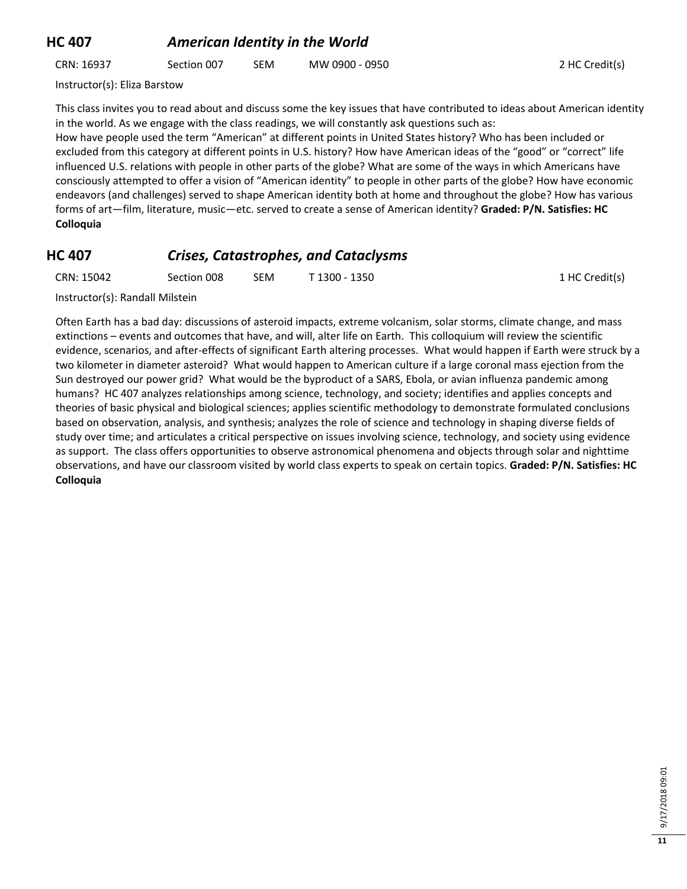#### **HC 407** *American Identity in the World*

CRN: 16937 Section 007 SEM MW 0900 - 0950 2 HC Credit(s)

Instructor(s): Eliza Barstow

This class invites you to read about and discuss some the key issues that have contributed to ideas about American identity in the world. As we engage with the class readings, we will constantly ask questions such as:

How have people used the term "American" at different points in United States history? Who has been included or excluded from this category at different points in U.S. history? How have American ideas of the "good" or "correct" life influenced U.S. relations with people in other parts of the globe? What are some of the ways in which Americans have consciously attempted to offer a vision of "American identity" to people in other parts of the globe? How have economic endeavors (and challenges) served to shape American identity both at home and throughout the globe? How has various forms of art—film, literature, music—etc. served to create a sense of American identity? **Graded: P/N. Satisfies: HC Colloquia**

#### **HC 407** *Crises, Catastrophes, and Cataclysms*

| CRN: 15042<br><b>SEM</b><br>T 1300 - 1350<br>Section 008 |  |
|----------------------------------------------------------|--|
|----------------------------------------------------------|--|

1 HC Credit(s)

Instructor(s): Randall Milstein

Often Earth has a bad day: discussions of asteroid impacts, extreme volcanism, solar storms, climate change, and mass extinctions – events and outcomes that have, and will, alter life on Earth. This colloquium will review the scientific evidence, scenarios, and after-effects of significant Earth altering processes. What would happen if Earth were struck by a two kilometer in diameter asteroid? What would happen to American culture if a large coronal mass ejection from the Sun destroyed our power grid? What would be the byproduct of a SARS, Ebola, or avian influenza pandemic among humans? HC 407 analyzes relationships among science, technology, and society; identifies and applies concepts and theories of basic physical and biological sciences; applies scientific methodology to demonstrate formulated conclusions based on observation, analysis, and synthesis; analyzes the role of science and technology in shaping diverse fields of study over time; and articulates a critical perspective on issues involving science, technology, and society using evidence as support. The class offers opportunities to observe astronomical phenomena and objects through solar and nighttime observations, and have our classroom visited by world class experts to speak on certain topics. **Graded: P/N. Satisfies: HC Colloquia**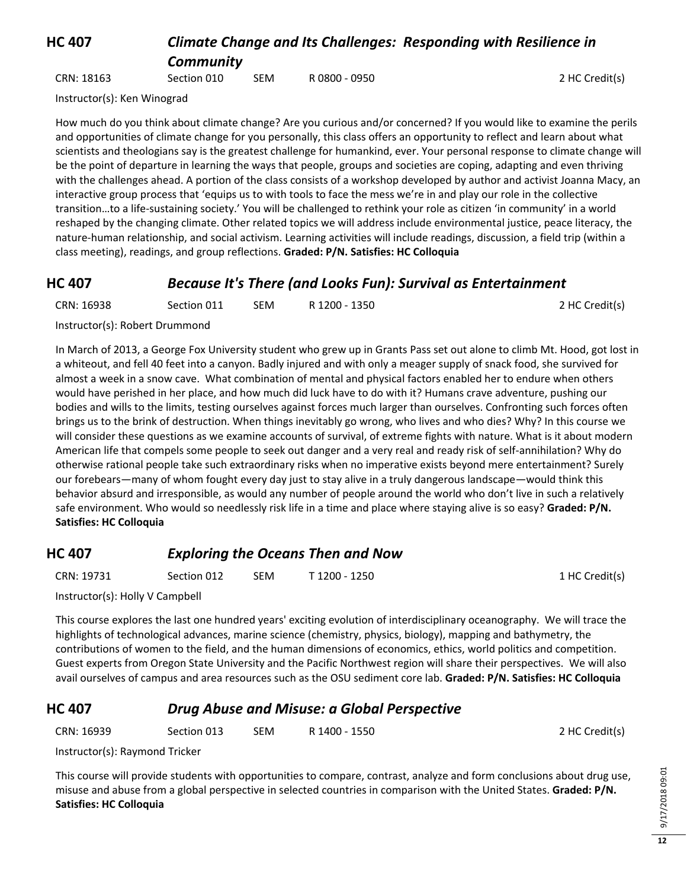#### **HC 407** *Climate Change and Its Challenges: Responding with Resilience in Community*

CRN: 18163 Section 010 SEM R 0800 - 0950 2 HC Credit(s)

Instructor(s): Ken Winograd

How much do you think about climate change? Are you curious and/or concerned? If you would like to examine the perils and opportunities of climate change for you personally, this class offers an opportunity to reflect and learn about what scientists and theologians say is the greatest challenge for humankind, ever. Your personal response to climate change will be the point of departure in learning the ways that people, groups and societies are coping, adapting and even thriving with the challenges ahead. A portion of the class consists of a workshop developed by author and activist Joanna Macy, an interactive group process that 'equips us to with tools to face the mess we're in and play our role in the collective transition…to a life-sustaining society.' You will be challenged to rethink your role as citizen 'in community' in a world reshaped by the changing climate. Other related topics we will address include environmental justice, peace literacy, the nature-human relationship, and social activism. Learning activities will include readings, discussion, a field trip (within a class meeting), readings, and group reflections. **Graded: P/N. Satisfies: HC Colloquia**

#### **HC 407** *Because It's There (and Looks Fun): Survival as Entertainment*

| CRN: 16938 | Section 011 | SEM. | R 1200 - 1350 | 2 HC Credit(s) |
|------------|-------------|------|---------------|----------------|
|            |             |      |               |                |

Instructor(s): Robert Drummond

In March of 2013, a George Fox University student who grew up in Grants Pass set out alone to climb Mt. Hood, got lost in a whiteout, and fell 40 feet into a canyon. Badly injured and with only a meager supply of snack food, she survived for almost a week in a snow cave. What combination of mental and physical factors enabled her to endure when others would have perished in her place, and how much did luck have to do with it? Humans crave adventure, pushing our bodies and wills to the limits, testing ourselves against forces much larger than ourselves. Confronting such forces often brings us to the brink of destruction. When things inevitably go wrong, who lives and who dies? Why? In this course we will consider these questions as we examine accounts of survival, of extreme fights with nature. What is it about modern American life that compels some people to seek out danger and a very real and ready risk of self-annihilation? Why do otherwise rational people take such extraordinary risks when no imperative exists beyond mere entertainment? Surely our forebears—many of whom fought every day just to stay alive in a truly dangerous landscape—would think this behavior absurd and irresponsible, as would any number of people around the world who don't live in such a relatively safe environment. Who would so needlessly risk life in a time and place where staying alive is so easy? **Graded: P/N. Satisfies: HC Colloquia**

## **HC 407** *Exploring the Oceans Then and Now*

CRN: 19731 Section 012 SEM T 1200 - 1250 1 HC Credit(s)

Instructor(s): Holly V Campbell

This course explores the last one hundred years' exciting evolution of interdisciplinary oceanography. We will trace the highlights of technological advances, marine science (chemistry, physics, biology), mapping and bathymetry, the contributions of women to the field, and the human dimensions of economics, ethics, world politics and competition. Guest experts from Oregon State University and the Pacific Northwest region will share their perspectives. We will also avail ourselves of campus and area resources such as the OSU sediment core lab. **Graded: P/N. Satisfies: HC Colloquia**

## **HC 407** *Drug Abuse and Misuse: a Global Perspective*

CRN: 16939 Section 013 SEM R 1400 - 1550 2 HC Credit(s)

Instructor(s): Raymond Tricker

This course will provide students with opportunities to compare, contrast, analyze and form conclusions about drug use, misuse and abuse from a global perspective in selected countries in comparison with the United States. **Graded: P/N. Satisfies: HC Colloquia**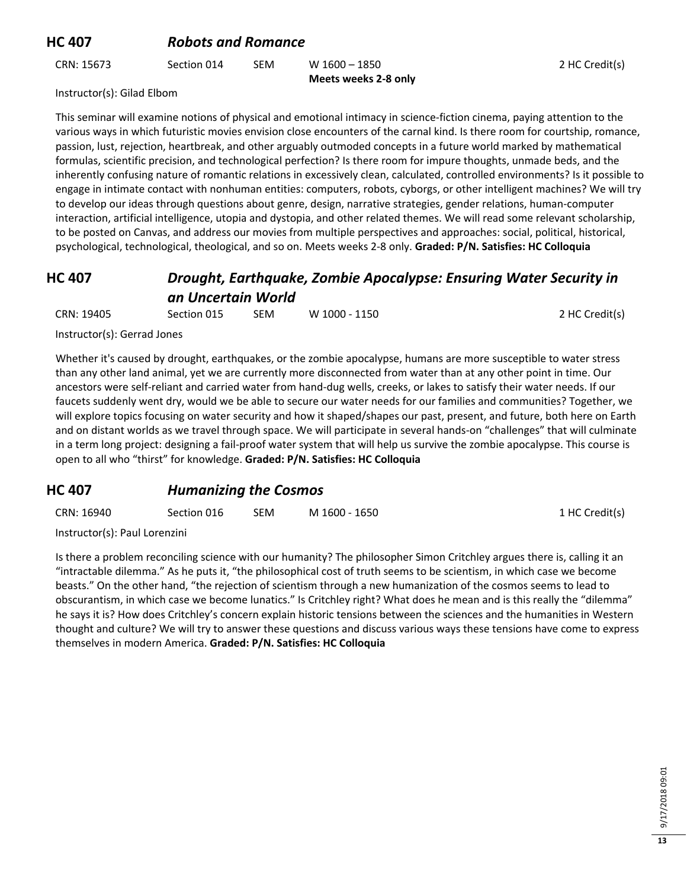## **HC 407** *Robots and Romance*

CRN: 15673 Section 014 SEM W 1600 – 1850 **Meets weeks 2-8 only** 2 HC Credit(s)

Instructor(s): Gilad Elbom

This seminar will examine notions of physical and emotional intimacy in science-fiction cinema, paying attention to the various ways in which futuristic movies envision close encounters of the carnal kind. Is there room for courtship, romance, passion, lust, rejection, heartbreak, and other arguably outmoded concepts in a future world marked by mathematical formulas, scientific precision, and technological perfection? Is there room for impure thoughts, unmade beds, and the inherently confusing nature of romantic relations in excessively clean, calculated, controlled environments? Is it possible to engage in intimate contact with nonhuman entities: computers, robots, cyborgs, or other intelligent machines? We will try to develop our ideas through questions about genre, design, narrative strategies, gender relations, human-computer interaction, artificial intelligence, utopia and dystopia, and other related themes. We will read some relevant scholarship, to be posted on Canvas, and address our movies from multiple perspectives and approaches: social, political, historical, psychological, technological, theological, and so on. Meets weeks 2-8 only. **Graded: P/N. Satisfies: HC Colloquia**

## **HC 407** *Drought, Earthquake, Zombie Apocalypse: Ensuring Water Security in an Uncertain World*

| CRN: 19405 | Section 015 | <b>SEM</b> | W 1000 - 1150 | 2 HC Credit(s) |
|------------|-------------|------------|---------------|----------------|
|            |             |            |               |                |

Instructor(s): Gerrad Jones

Whether it's caused by drought, earthquakes, or the zombie apocalypse, humans are more susceptible to water stress than any other land animal, yet we are currently more disconnected from water than at any other point in time. Our ancestors were self-reliant and carried water from hand-dug wells, creeks, or lakes to satisfy their water needs. If our faucets suddenly went dry, would we be able to secure our water needs for our families and communities? Together, we will explore topics focusing on water security and how it shaped/shapes our past, present, and future, both here on Earth and on distant worlds as we travel through space. We will participate in several hands-on "challenges" that will culminate in a term long project: designing a fail-proof water system that will help us survive the zombie apocalypse. This course is open to all who "thirst" for knowledge. **Graded: P/N. Satisfies: HC Colloquia**

## **HC 407** *Humanizing the Cosmos*

| CRN: 16940 | Section 016 | <b>SEM</b> | M 1600 - 1650 | 1 HC Credit(s) |
|------------|-------------|------------|---------------|----------------|
|            |             |            |               |                |

Instructor(s): Paul Lorenzini

Is there a problem reconciling science with our humanity? The philosopher Simon Critchley argues there is, calling it an "intractable dilemma." As he puts it, "the philosophical cost of truth seems to be scientism, in which case we become beasts." On the other hand, "the rejection of scientism through a new humanization of the cosmos seems to lead to obscurantism, in which case we become lunatics." Is Critchley right? What does he mean and is this really the "dilemma" he says it is? How does Critchley's concern explain historic tensions between the sciences and the humanities in Western thought and culture? We will try to answer these questions and discuss various ways these tensions have come to express themselves in modern America. **Graded: P/N. Satisfies: HC Colloquia**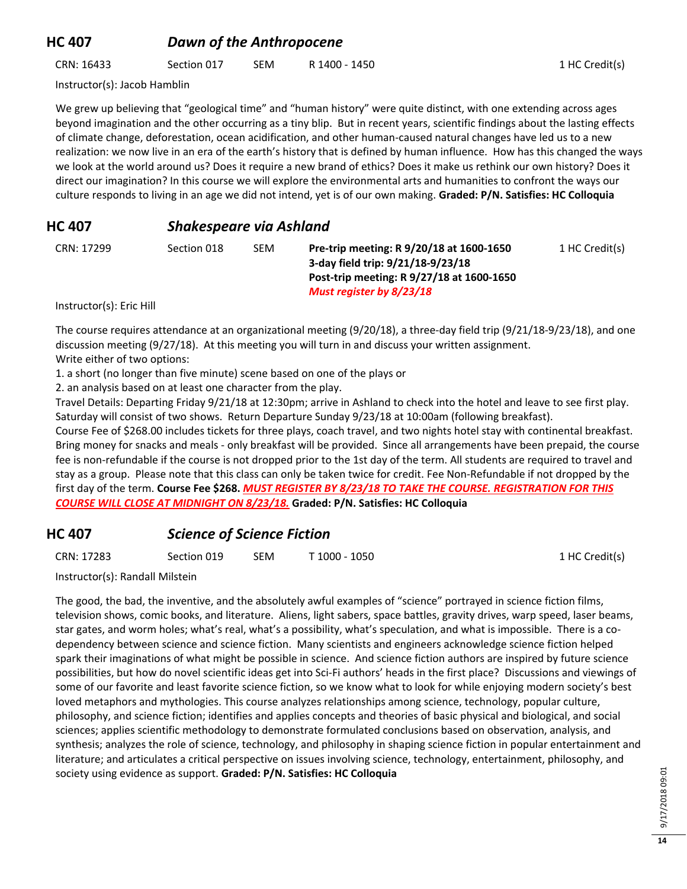## **HC 407** *Dawn of the Anthropocene*

CRN: 16433 Section 017 SEM R 1400 - 1450 1 HC Credit(s)

Instructor(s): Jacob Hamblin

We grew up believing that "geological time" and "human history" were quite distinct, with one extending across ages beyond imagination and the other occurring as a tiny blip. But in recent years, scientific findings about the lasting effects of climate change, deforestation, ocean acidification, and other human-caused natural changes have led us to a new realization: we now live in an era of the earth's history that is defined by human influence. How has this changed the ways we look at the world around us? Does it require a new brand of ethics? Does it make us rethink our own history? Does it direct our imagination? In this course we will explore the environmental arts and humanities to confront the ways our culture responds to living in an age we did not intend, yet is of our own making. **Graded: P/N. Satisfies: HC Colloquia**

#### **HC 407** *Shakespeare via Ashland*

CRN: 17299 Section 018 SEM **Pre-trip meeting: R 9/20/18 at 1600-1650 3-day field trip: 9/21/18-9/23/18 Post-trip meeting: R 9/27/18 at 1600-1650** *Must register by 8/23/18* 1 HC Credit(s)

Instructor(s): Eric Hill

The course requires attendance at an organizational meeting (9/20/18), a three-day field trip (9/21/18-9/23/18), and one discussion meeting (9/27/18). At this meeting you will turn in and discuss your written assignment. Write either of two options:

1. a short (no longer than five minute) scene based on one of the plays or

2. an analysis based on at least one character from the play.

Travel Details: Departing Friday 9/21/18 at 12:30pm; arrive in Ashland to check into the hotel and leave to see first play. Saturday will consist of two shows. Return Departure Sunday 9/23/18 at 10:00am (following breakfast).

Course Fee of \$268.00 includes tickets for three plays, coach travel, and two nights hotel stay with continental breakfast. Bring money for snacks and meals - only breakfast will be provided. Since all arrangements have been prepaid, the course fee is non-refundable if the course is not dropped prior to the 1st day of the term. All students are required to travel and stay as a group. Please note that this class can only be taken twice for credit. Fee Non-Refundable if not dropped by the first day of the term. **Course Fee \$268.** *MUST REGISTER BY 8/23/18 TO TAKE THE COURSE. REGISTRATION FOR THIS COURSE WILL CLOSE AT MIDNIGHT ON 8/23/18.* **Graded: P/N. Satisfies: HC Colloquia**

## **HC 407** *Science of Science Fiction*

CRN: 17283 Section 019 SEM T 1000 - 1050 1 HC Credit(s)

Instructor(s): Randall Milstein

The good, the bad, the inventive, and the absolutely awful examples of "science" portrayed in science fiction films, television shows, comic books, and literature. Aliens, light sabers, space battles, gravity drives, warp speed, laser beams, star gates, and worm holes; what's real, what's a possibility, what's speculation, and what is impossible. There is a codependency between science and science fiction. Many scientists and engineers acknowledge science fiction helped spark their imaginations of what might be possible in science. And science fiction authors are inspired by future science possibilities, but how do novel scientific ideas get into Sci-Fi authors' heads in the first place? Discussions and viewings of some of our favorite and least favorite science fiction, so we know what to look for while enjoying modern society's best loved metaphors and mythologies. This course analyzes relationships among science, technology, popular culture, philosophy, and science fiction; identifies and applies concepts and theories of basic physical and biological, and social sciences; applies scientific methodology to demonstrate formulated conclusions based on observation, analysis, and synthesis; analyzes the role of science, technology, and philosophy in shaping science fiction in popular entertainment and literature; and articulates a critical perspective on issues involving science, technology, entertainment, philosophy, and society using evidence as support. **Graded: P/N. Satisfies: HC Colloquia**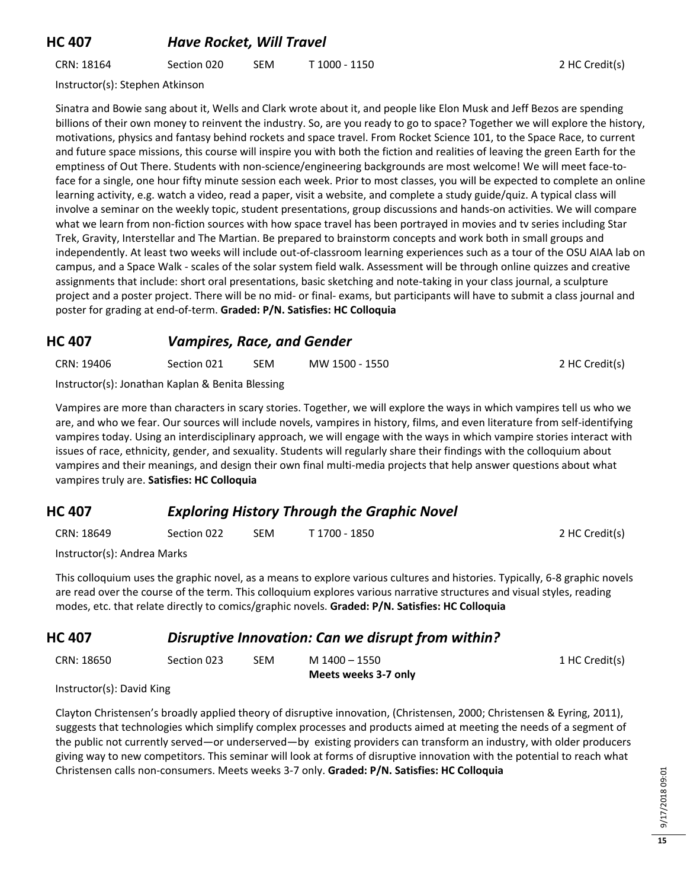#### **HC 407** *Have Rocket, Will Travel*

CRN: 18164 Section 020 SEM T 1000 - 1150 2 HC Credit(s)

Instructor(s): Stephen Atkinson

Sinatra and Bowie sang about it, Wells and Clark wrote about it, and people like Elon Musk and Jeff Bezos are spending billions of their own money to reinvent the industry. So, are you ready to go to space? Together we will explore the history, motivations, physics and fantasy behind rockets and space travel. From Rocket Science 101, to the Space Race, to current and future space missions, this course will inspire you with both the fiction and realities of leaving the green Earth for the emptiness of Out There. Students with non-science/engineering backgrounds are most welcome! We will meet face-toface for a single, one hour fifty minute session each week. Prior to most classes, you will be expected to complete an online learning activity, e.g. watch a video, read a paper, visit a website, and complete a study guide/quiz. A typical class will involve a seminar on the weekly topic, student presentations, group discussions and hands-on activities. We will compare what we learn from non-fiction sources with how space travel has been portrayed in movies and tv series including Star Trek, Gravity, Interstellar and The Martian. Be prepared to brainstorm concepts and work both in small groups and independently. At least two weeks will include out-of-classroom learning experiences such as a tour of the OSU AIAA lab on campus, and a Space Walk - scales of the solar system field walk. Assessment will be through online quizzes and creative assignments that include: short oral presentations, basic sketching and note-taking in your class journal, a sculpture project and a poster project. There will be no mid- or final- exams, but participants will have to submit a class journal and poster for grading at end-of-term. **Graded: P/N. Satisfies: HC Colloquia**

#### **HC 407** *Vampires, Race, and Gender*

| CRN: 19406                                                                                                     | Section 021 | SEM | MW 1500 - 1550 | 2 HC Credit(s) |
|----------------------------------------------------------------------------------------------------------------|-------------|-----|----------------|----------------|
| ilian de la constante de la contrata de la contrata de la catala de la contrata de la catala de la contrata de |             |     |                |                |

Instructor(s): Jonathan Kaplan & Benita Blessing

Vampires are more than characters in scary stories. Together, we will explore the ways in which vampires tell us who we are, and who we fear. Our sources will include novels, vampires in history, films, and even literature from self-identifying vampires today. Using an interdisciplinary approach, we will engage with the ways in which vampire stories interact with issues of race, ethnicity, gender, and sexuality. Students will regularly share their findings with the colloquium about vampires and their meanings, and design their own final multi-media projects that help answer questions about what vampires truly are. **Satisfies: HC Colloquia**

#### **HC 407** *Exploring History Through the Graphic Novel*

| CRN: 18649<br>Section 022 | <b>SEM</b> | T 1700 - 1850 | 2 HC Credit(s) |
|---------------------------|------------|---------------|----------------|
|---------------------------|------------|---------------|----------------|

Instructor(s): Andrea Marks

This colloquium uses the graphic novel, as a means to explore various cultures and histories. Typically, 6-8 graphic novels are read over the course of the term. This colloquium explores various narrative structures and visual styles, reading modes, etc. that relate directly to comics/graphic novels. **Graded: P/N. Satisfies: HC Colloquia**

#### **HC 407** *Disruptive Innovation: Can we disrupt from within?*

| CRN: 18650 | Section 023 | <b>SEM</b> | M 1400 – 1550        | 1 HC Credit(s) |
|------------|-------------|------------|----------------------|----------------|
|            |             |            | Meets weeks 3-7 only |                |

Instructor(s): David King

Clayton Christensen's broadly applied theory of disruptive innovation, (Christensen, 2000; Christensen & Eyring, 2011), suggests that technologies which simplify complex processes and products aimed at meeting the needs of a segment of the public not currently served—or underserved—by existing providers can transform an industry, with older producers giving way to new competitors. This seminar will look at forms of disruptive innovation with the potential to reach what Christensen calls non-consumers. Meets weeks 3-7 only. **Graded: P/N. Satisfies: HC Colloquia**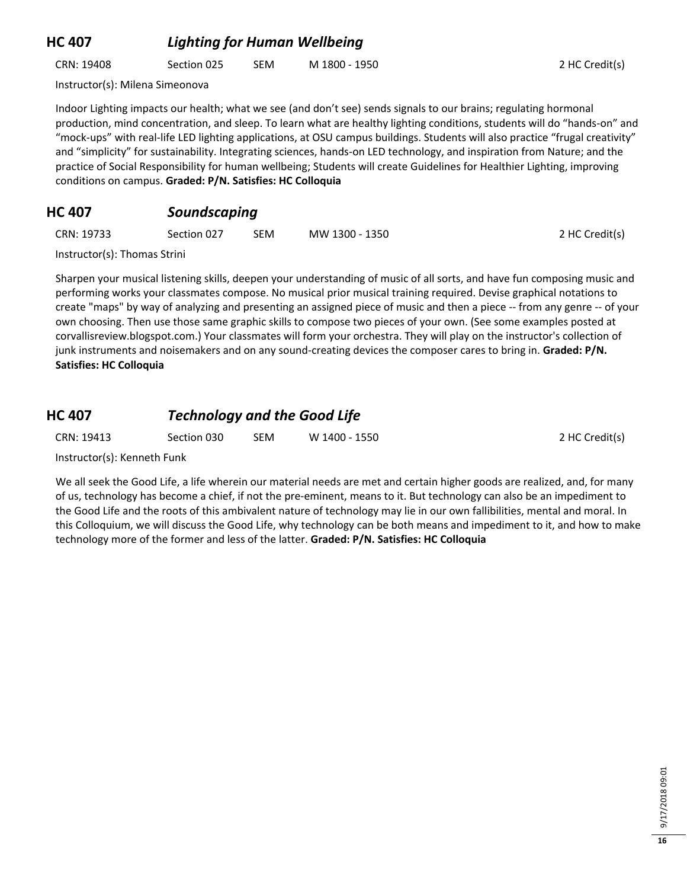## **HC 407** *Lighting for Human Wellbeing*

CRN: 19408 Section 025 SEM M 1800 - 1950 2 HC Credit(s)

Instructor(s): Milena Simeonova

Indoor Lighting impacts our health; what we see (and don't see) sends signals to our brains; regulating hormonal production, mind concentration, and sleep. To learn what are healthy lighting conditions, students will do "hands-on" and "mock-ups" with real-life LED lighting applications, at OSU campus buildings. Students will also practice "frugal creativity" and "simplicity" for sustainability. Integrating sciences, hands-on LED technology, and inspiration from Nature; and the practice of Social Responsibility for human wellbeing; Students will create Guidelines for Healthier Lighting, improving conditions on campus. **Graded: P/N. Satisfies: HC Colloquia**

## **HC 407** *Soundscaping*

| CRN: 19733 | Section 027 | <b>SEM</b> | MW 1300 - 1350 | 2 HC Credit(s) |
|------------|-------------|------------|----------------|----------------|
|            |             |            |                |                |

Instructor(s): Thomas Strini

Sharpen your musical listening skills, deepen your understanding of music of all sorts, and have fun composing music and performing works your classmates compose. No musical prior musical training required. Devise graphical notations to create "maps" by way of analyzing and presenting an assigned piece of music and then a piece -- from any genre -- of your own choosing. Then use those same graphic skills to compose two pieces of your own. (See some examples posted at corvallisreview.blogspot.com.) Your classmates will form your orchestra. They will play on the instructor's collection of junk instruments and noisemakers and on any sound-creating devices the composer cares to bring in. **Graded: P/N. Satisfies: HC Colloquia**

## **HC 407** *Technology and the Good Life*

CRN: 19413 Section 030 SEM W 1400 - 1550 2 HC Credit(s)

Instructor(s): Kenneth Funk

We all seek the Good Life, a life wherein our material needs are met and certain higher goods are realized, and, for many of us, technology has become a chief, if not the pre-eminent, means to it. But technology can also be an impediment to the Good Life and the roots of this ambivalent nature of technology may lie in our own fallibilities, mental and moral. In this Colloquium, we will discuss the Good Life, why technology can be both means and impediment to it, and how to make technology more of the former and less of the latter. **Graded: P/N. Satisfies: HC Colloquia**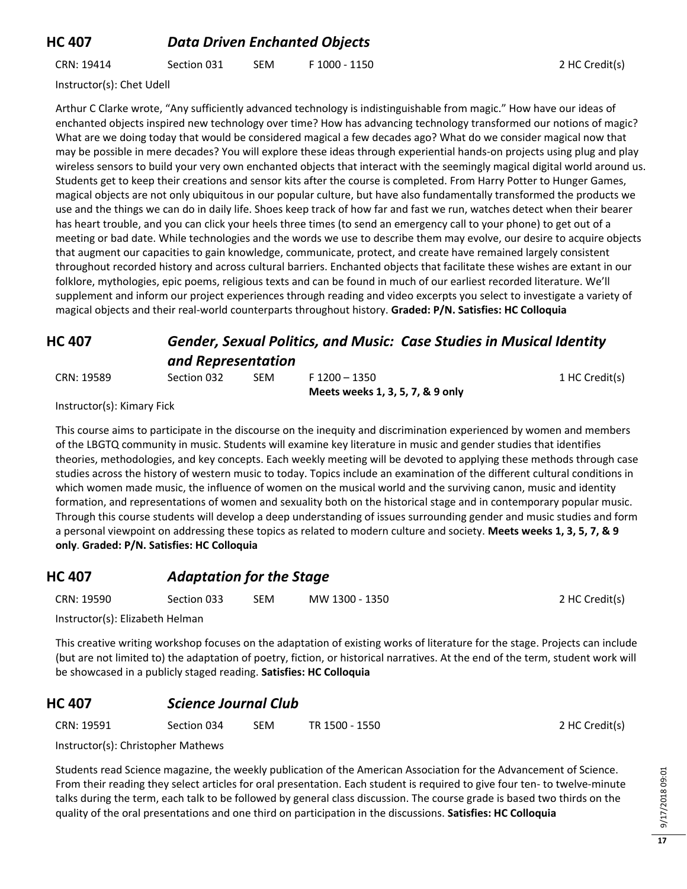## **HC 407** *Data Driven Enchanted Objects*

CRN: 19414 Section 031 SEM F 1000 - 1150 2 HC Credit(s)

Instructor(s): Chet Udell

Arthur C Clarke wrote, "Any sufficiently advanced technology is indistinguishable from magic." How have our ideas of enchanted objects inspired new technology over time? How has advancing technology transformed our notions of magic? What are we doing today that would be considered magical a few decades ago? What do we consider magical now that may be possible in mere decades? You will explore these ideas through experiential hands-on projects using plug and play wireless sensors to build your very own enchanted objects that interact with the seemingly magical digital world around us. Students get to keep their creations and sensor kits after the course is completed. From Harry Potter to Hunger Games, magical objects are not only ubiquitous in our popular culture, but have also fundamentally transformed the products we use and the things we can do in daily life. Shoes keep track of how far and fast we run, watches detect when their bearer has heart trouble, and you can click your heels three times (to send an emergency call to your phone) to get out of a meeting or bad date. While technologies and the words we use to describe them may evolve, our desire to acquire objects that augment our capacities to gain knowledge, communicate, protect, and create have remained largely consistent throughout recorded history and across cultural barriers. Enchanted objects that facilitate these wishes are extant in our folklore, mythologies, epic poems, religious texts and can be found in much of our earliest recorded literature. We'll supplement and inform our project experiences through reading and video excerpts you select to investigate a variety of magical objects and their real-world counterparts throughout history. **Graded: P/N. Satisfies: HC Colloquia**

## **HC 407** *Gender, Sexual Politics, and Music: Case Studies in Musical Identity and Representation*

CRN: 19589 Section 032 SEM F 1200 – 1350 **Meets weeks 1, 3, 5, 7, & 9 only** 1 HC Credit(s)

2 HC Credit(s)

Instructor(s): Kimary Fick

This course aims to participate in the discourse on the inequity and discrimination experienced by women and members of the LBGTQ community in music. Students will examine key literature in music and gender studies that identifies theories, methodologies, and key concepts. Each weekly meeting will be devoted to applying these methods through case studies across the history of western music to today. Topics include an examination of the different cultural conditions in which women made music, the influence of women on the musical world and the surviving canon, music and identity formation, and representations of women and sexuality both on the historical stage and in contemporary popular music. Through this course students will develop a deep understanding of issues surrounding gender and music studies and form a personal viewpoint on addressing these topics as related to modern culture and society. **Meets weeks 1, 3, 5, 7, & 9 only**. **Graded: P/N. Satisfies: HC Colloquia**

## **HC 407** *Adaptation for the Stage* CRN: 19590 Section 033 SEM MW 1300 - 1350 2 HC Credit(s)

Instructor(s): Elizabeth Helman

This creative writing workshop focuses on the adaptation of existing works of literature for the stage. Projects can include (but are not limited to) the adaptation of poetry, fiction, or historical narratives. At the end of the term, student work will be showcased in a publicly staged reading. **Satisfies: HC Colloquia**

## **HC 407** *Science Journal Club*

| CRN: 19591<br>Section 034 | SEM | TR 1500 - 1550 |
|---------------------------|-----|----------------|
|---------------------------|-----|----------------|

Instructor(s): Christopher Mathews

Students read Science magazine, the weekly publication of the American Association for the Advancement of Science. From their reading they select articles for oral presentation. Each student is required to give four ten- to twelve-minute talks during the term, each talk to be followed by general class discussion. The course grade is based two thirds on the quality of the oral presentations and one third on participation in the discussions. **Satisfies: HC Colloquia**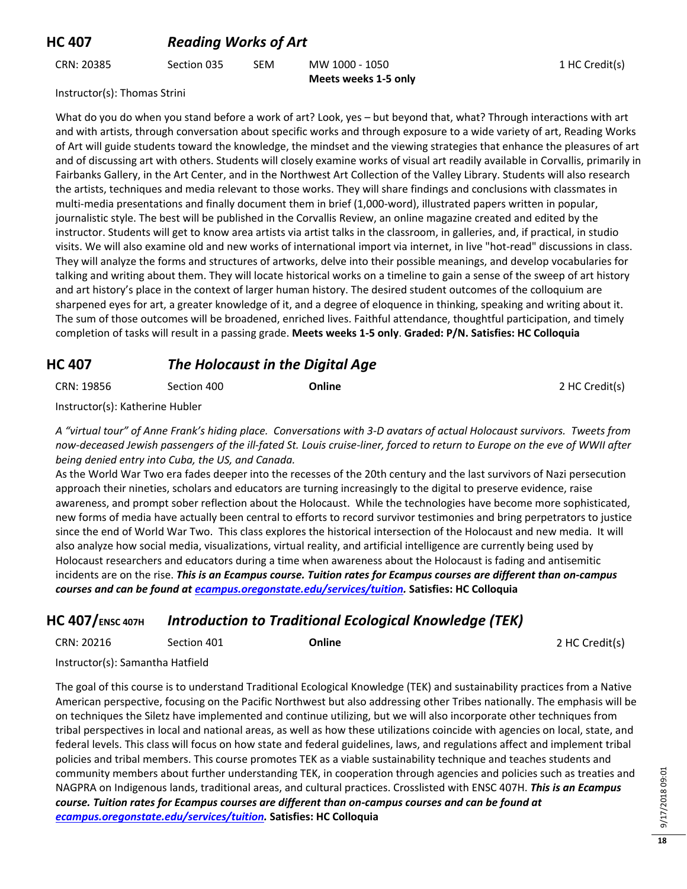CRN: 20385 Section 035 SEM MW 1000 - 1050 **Meets weeks 1-5 only** 1 HC Credit(s)

Instructor(s): Thomas Strini

What do you do when you stand before a work of art? Look, yes – but beyond that, what? Through interactions with art and with artists, through conversation about specific works and through exposure to a wide variety of art, Reading Works of Art will guide students toward the knowledge, the mindset and the viewing strategies that enhance the pleasures of art and of discussing art with others. Students will closely examine works of visual art readily available in Corvallis, primarily in Fairbanks Gallery, in the Art Center, and in the Northwest Art Collection of the Valley Library. Students will also research the artists, techniques and media relevant to those works. They will share findings and conclusions with classmates in multi-media presentations and finally document them in brief (1,000-word), illustrated papers written in popular, journalistic style. The best will be published in the Corvallis Review, an online magazine created and edited by the instructor. Students will get to know area artists via artist talks in the classroom, in galleries, and, if practical, in studio visits. We will also examine old and new works of international import via internet, in live "hot-read" discussions in class. They will analyze the forms and structures of artworks, delve into their possible meanings, and develop vocabularies for talking and writing about them. They will locate historical works on a timeline to gain a sense of the sweep of art history and art history's place in the context of larger human history. The desired student outcomes of the colloquium are sharpened eyes for art, a greater knowledge of it, and a degree of eloquence in thinking, speaking and writing about it. The sum of those outcomes will be broadened, enriched lives. Faithful attendance, thoughtful participation, and timely completion of tasks will result in a passing grade. **Meets weeks 1-5 only**. **Graded: P/N. Satisfies: HC Colloquia**

#### **HC 407** *The Holocaust in the Digital Age*

CRN: 19856 Section 400 **Online** 2 HC Credit(s)

Instructor(s): Katherine Hubler

*A "virtual tour" of Anne Frank's hiding place. Conversations with 3-D avatars of actual Holocaust survivors. Tweets from now-deceased Jewish passengers of the ill-fated St. Louis cruise-liner, forced to return to Europe on the eve of WWII after being denied entry into Cuba, the US, and Canada.*

As the World War Two era fades deeper into the recesses of the 20th century and the last survivors of Nazi persecution approach their nineties, scholars and educators are turning increasingly to the digital to preserve evidence, raise awareness, and prompt sober reflection about the Holocaust. While the technologies have become more sophisticated, new forms of media have actually been central to efforts to record survivor testimonies and bring perpetrators to justice since the end of World War Two. This class explores the historical intersection of the Holocaust and new media. It will also analyze how social media, visualizations, virtual reality, and artificial intelligence are currently being used by Holocaust researchers and educators during a time when awareness about the Holocaust is fading and antisemitic incidents are on the rise. *This is an Ecampus course. Tuition rates for Ecampus courses are different than on-campus courses and can be found a[t ecampus.oregonstate.edu/services/tuition.](https://ecampus.oregonstate.edu/services/tuition/)* **Satisfies: HC Colloquia**

#### **HC 407/ENSC 407H** *Introduction to Traditional Ecological Knowledge (TEK)*

| CRN: 20216 | Section 401 | Online | 2 HC Credit(s) |
|------------|-------------|--------|----------------|
|------------|-------------|--------|----------------|

Instructor(s): Samantha Hatfield

The goal of this course is to understand Traditional Ecological Knowledge (TEK) and sustainability practices from a Native American perspective, focusing on the Pacific Northwest but also addressing other Tribes nationally. The emphasis will be on techniques the Siletz have implemented and continue utilizing, but we will also incorporate other techniques from tribal perspectives in local and national areas, as well as how these utilizations coincide with agencies on local, state, and federal levels. This class will focus on how state and federal guidelines, laws, and regulations affect and implement tribal policies and tribal members. This course promotes TEK as a viable sustainability technique and teaches students and community members about further understanding TEK, in cooperation through agencies and policies such as treaties and NAGPRA on Indigenous lands, traditional areas, and cultural practices. Crosslisted with ENSC 407H. *This is an Ecampus course. Tuition rates for Ecampus courses are different than on-campus courses and can be found at [ecampus.oregonstate.edu/services/tuition.](https://ecampus.oregonstate.edu/services/tuition/)* **Satisfies: HC Colloquia**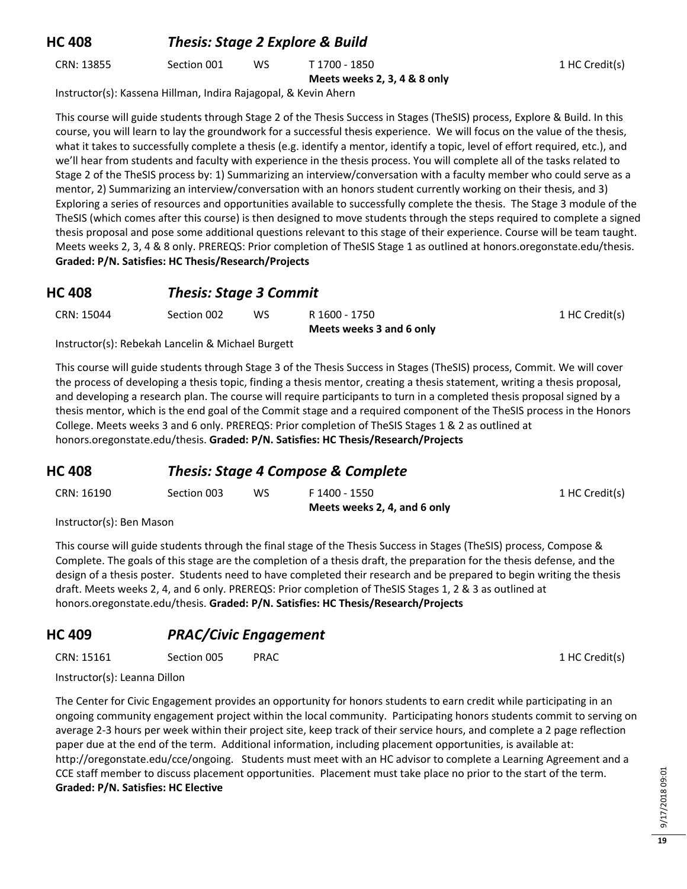## **HC 408** *Thesis: Stage 2 Explore & Build*

CRN: 13855 Section 001 WS T 1700 - 1850

**Meets weeks 2, 3, 4 & 8 only**

1 HC Credit(s)

Instructor(s): Kassena Hillman, Indira Rajagopal, & Kevin Ahern

This course will guide students through Stage 2 of the Thesis Success in Stages (TheSIS) process, Explore & Build. In this course, you will learn to lay the groundwork for a successful thesis experience. We will focus on the value of the thesis, what it takes to successfully complete a thesis (e.g. identify a mentor, identify a topic, level of effort required, etc.), and we'll hear from students and faculty with experience in the thesis process. You will complete all of the tasks related to Stage 2 of the TheSIS process by: 1) Summarizing an interview/conversation with a faculty member who could serve as a mentor, 2) Summarizing an interview/conversation with an honors student currently working on their thesis, and 3) Exploring a series of resources and opportunities available to successfully complete the thesis. The Stage 3 module of the TheSIS (which comes after this course) is then designed to move students through the steps required to complete a signed thesis proposal and pose some additional questions relevant to this stage of their experience. Course will be team taught. Meets weeks 2, 3, 4 & 8 only. PREREQS: Prior completion of TheSIS Stage 1 as outlined at honors.oregonstate.edu/thesis. **Graded: P/N. Satisfies: HC Thesis/Research/Projects**

#### **HC 408** *Thesis: Stage 3 Commit*

| CRN: 15044 | Section 002 | ws | R 1600 - 1750            | 1 HC Credit(s) |
|------------|-------------|----|--------------------------|----------------|
|            |             |    | Meets weeks 3 and 6 only |                |

Instructor(s): Rebekah Lancelin & Michael Burgett

This course will guide students through Stage 3 of the Thesis Success in Stages (TheSIS) process, Commit. We will cover the process of developing a thesis topic, finding a thesis mentor, creating a thesis statement, writing a thesis proposal, and developing a research plan. The course will require participants to turn in a completed thesis proposal signed by a thesis mentor, which is the end goal of the Commit stage and a required component of the TheSIS process in the Honors College. Meets weeks 3 and 6 only. PREREQS: Prior completion of TheSIS Stages 1 & 2 as outlined at honors.oregonstate.edu/thesis. **Graded: P/N. Satisfies: HC Thesis/Research/Projects**

#### **HC 408** *Thesis: Stage 4 Compose & Complete*

|            |             |           | Meets weeks 2, 4, and 6 only |                |
|------------|-------------|-----------|------------------------------|----------------|
| CRN: 16190 | Section 003 | <b>WS</b> | F 1400 - 1550                | 1 HC Credit(s) |

Instructor(s): Ben Mason

This course will guide students through the final stage of the Thesis Success in Stages (TheSIS) process, Compose & Complete. The goals of this stage are the completion of a thesis draft, the preparation for the thesis defense, and the design of a thesis poster. Students need to have completed their research and be prepared to begin writing the thesis draft. Meets weeks 2, 4, and 6 only. PREREQS: Prior completion of TheSIS Stages 1, 2 & 3 as outlined at honors.oregonstate.edu/thesis. **Graded: P/N. Satisfies: HC Thesis/Research/Projects**

## **HC 409** *PRAC/Civic Engagement*

CRN: 15161 Section 005 PRAC 1 HC Credit(s)

Instructor(s): Leanna Dillon

The Center for Civic Engagement provides an opportunity for honors students to earn credit while participating in an ongoing community engagement project within the local community. Participating honors students commit to serving on average 2-3 hours per week within their project site, keep track of their service hours, and complete a 2 page reflection paper due at the end of the term. Additional information, including placement opportunities, is available at: http://oregonstate.edu/cce/ongoing. Students must meet with an HC advisor to complete a Learning Agreement and a CCE staff member to discuss placement opportunities. Placement must take place no prior to the start of the term. **Graded: P/N. Satisfies: HC Elective**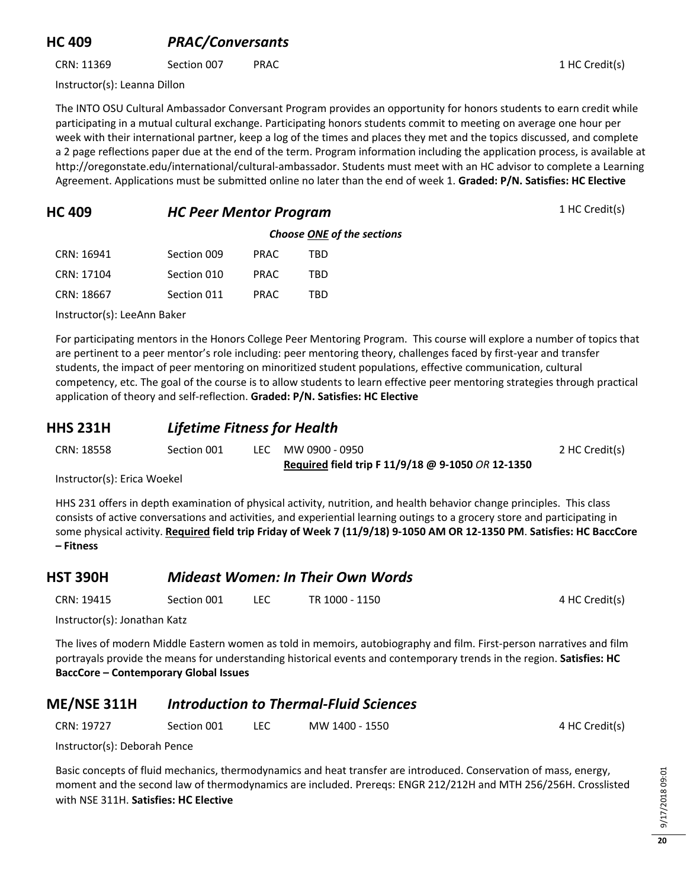#### **HC 409** *PRAC/Conversants*

CRN: 11369 Section 007 PRAC 1 HC Credit(s)

Instructor(s): Leanna Dillon

The INTO OSU Cultural Ambassador Conversant Program provides an opportunity for honors students to earn credit while participating in a mutual cultural exchange. Participating honors students commit to meeting on average one hour per week with their international partner, keep a log of the times and places they met and the topics discussed, and complete a 2 page reflections paper due at the end of the term. Program information including the application process, is available at http://oregonstate.edu/international/cultural-ambassador. Students must meet with an HC advisor to complete a Learning Agreement. Applications must be submitted online no later than the end of week 1. **Graded: P/N. Satisfies: HC Elective**

| <b>HC 409</b> | <b>HC Peer Mentor Program</b> | 1 HC Credit(s) |
|---------------|-------------------------------|----------------|
|---------------|-------------------------------|----------------|

|               | <b>Choose ONE of the sections</b> |  |
|---------------|-----------------------------------|--|
| DD A <i>C</i> | TRN                               |  |

| CRN: 16941 | Section 009 | <b>PRAC</b> | TRD |
|------------|-------------|-------------|-----|
| CRN: 17104 | Section 010 | PRAC.       | TBD |
| CRN: 18667 | Section 011 | <b>PRAC</b> | TRD |

Instructor(s): LeeAnn Baker

For participating mentors in the Honors College Peer Mentoring Program. This course will explore a number of topics that are pertinent to a peer mentor's role including: peer mentoring theory, challenges faced by first-year and transfer students, the impact of peer mentoring on minoritized student populations, effective communication, cultural competency, etc. The goal of the course is to allow students to learn effective peer mentoring strategies through practical application of theory and self-reflection. **Graded: P/N. Satisfies: HC Elective**

#### **HHS 231H** *Lifetime Fitness for Health*

| CRN: 18558 | Section 001 | LEC MW 0900 - 0950                                | 2 HC Credit(s) |
|------------|-------------|---------------------------------------------------|----------------|
|            |             | Required field trip F 11/9/18 @ 9-1050 OR 12-1350 |                |

Instructor(s): Erica Woekel

HHS 231 offers in depth examination of physical activity, nutrition, and health behavior change principles. This class consists of active conversations and activities, and experiential learning outings to a grocery store and participating in some physical activity. **Required field trip Friday of Week 7 (11/9/18) 9-1050 AM OR 12-1350 PM**. **Satisfies: HC BaccCore – Fitness**

# **HST 390H** *Mideast Women: In Their Own Words*

| CRN: 19415 | Section 001 | LEC | TR 1000 - 1150 | 4 HC Credit(s) |
|------------|-------------|-----|----------------|----------------|
|            |             |     |                |                |

Instructor(s): Jonathan Katz

The lives of modern Middle Eastern women as told in memoirs, autobiography and film. First-person narratives and film portrayals provide the means for understanding historical events and contemporary trends in the region. **Satisfies: HC BaccCore – Contemporary Global Issues**

## **ME/NSE 311H** *Introduction to Thermal-Fluid Sciences*

| CRN: 19727 | Section 001 | LEC | MW 1400 - 1550 | 4 HC Credit(s) |
|------------|-------------|-----|----------------|----------------|
|            |             |     |                |                |

Instructor(s): Deborah Pence

Basic concepts of fluid mechanics, thermodynamics and heat transfer are introduced. Conservation of mass, energy, moment and the second law of thermodynamics are included. Prereqs: ENGR 212/212H and MTH 256/256H. Crosslisted with NSE 311H. **Satisfies: HC Elective**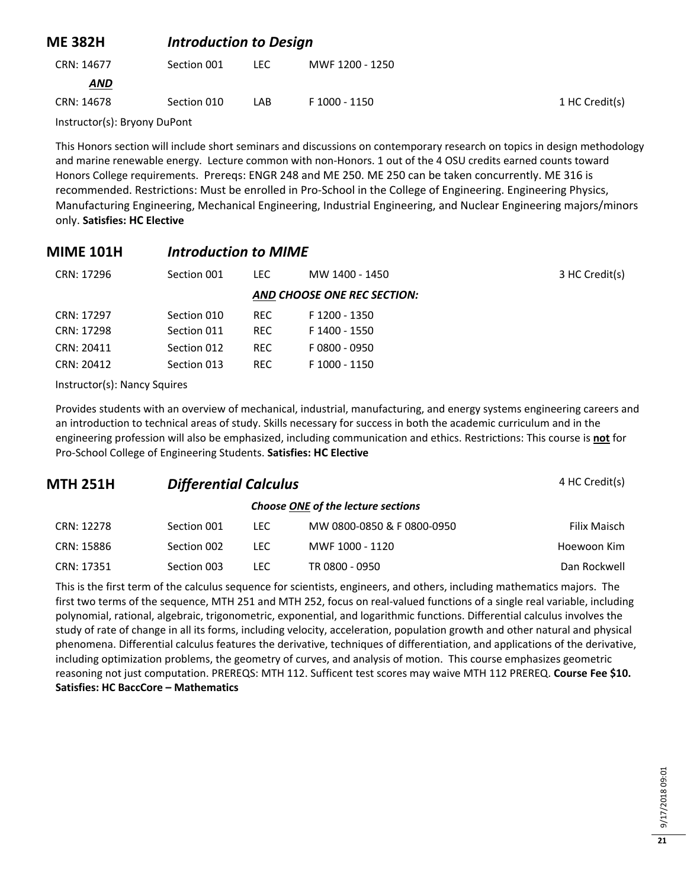| <b>ME 382H</b> |             | <b>Introduction to Design</b> |                 |                |  |
|----------------|-------------|-------------------------------|-----------------|----------------|--|
| CRN: 14677     | Section 001 | LEC.                          | MWF 1200 - 1250 |                |  |
| <b>AND</b>     |             |                               |                 |                |  |
| CRN: 14678     | Section 010 | LAB                           | F 1000 - 1150   | 1 HC Credit(s) |  |
|                |             |                               |                 |                |  |

Instructor(s): Bryony DuPont

This Honors section will include short seminars and discussions on contemporary research on topics in design methodology and marine renewable energy. Lecture common with non-Honors. 1 out of the 4 OSU credits earned counts toward Honors College requirements. Prereqs: ENGR 248 and ME 250. ME 250 can be taken concurrently. ME 316 is recommended. Restrictions: Must be enrolled in Pro-School in the College of Engineering. Engineering Physics, Manufacturing Engineering, Mechanical Engineering, Industrial Engineering, and Nuclear Engineering majors/minors only. **Satisfies: HC Elective**

## **MIME 101H** *Introduction to MIME*

| CRN: 17296 | Section 001 | LEC.       | MW 1400 - 1450              | 3 HC Credit(s) |
|------------|-------------|------------|-----------------------------|----------------|
|            |             |            | AND CHOOSE ONE REC SECTION: |                |
| CRN: 17297 | Section 010 | REC.       | F 1200 - 1350               |                |
| CRN: 17298 | Section 011 | REC.       | F 1400 - 1550               |                |
| CRN: 20411 | Section 012 | <b>REC</b> | F0800 - 0950                |                |
| CRN: 20412 | Section 013 | REC.       | F 1000 - 1150               |                |

Instructor(s): Nancy Squires

Provides students with an overview of mechanical, industrial, manufacturing, and energy systems engineering careers and an introduction to technical areas of study. Skills necessary for success in both the academic curriculum and in the engineering profession will also be emphasized, including communication and ethics. Restrictions: This course is **not** for Pro-School College of Engineering Students. **Satisfies: HC Elective**

| <b>MTH 251H</b> | <b>Differential Calculus</b> | 4 HC Credit(s) |                                    |              |
|-----------------|------------------------------|----------------|------------------------------------|--------------|
|                 |                              |                | Choose ONE of the lecture sections |              |
| CRN: 12278      | Section 001                  | LEC.           | MW 0800-0850 & F 0800-0950         | Filix Maisch |
| CRN: 15886      | Section 002                  | LEC.           | MWF 1000 - 1120                    | Hoewoon Kim  |
| CRN: 17351      | Section 003                  | LEC.           | TR 0800 - 0950                     | Dan Rockwell |

This is the first term of the calculus sequence for scientists, engineers, and others, including mathematics majors. The first two terms of the sequence, MTH 251 and MTH 252, focus on real-valued functions of a single real variable, including polynomial, rational, algebraic, trigonometric, exponential, and logarithmic functions. Differential calculus involves the study of rate of change in all its forms, including velocity, acceleration, population growth and other natural and physical phenomena. Differential calculus features the derivative, techniques of differentiation, and applications of the derivative, including optimization problems, the geometry of curves, and analysis of motion. This course emphasizes geometric reasoning not just computation. PREREQS: MTH 112. Sufficent test scores may waive MTH 112 PREREQ. **Course Fee \$10. Satisfies: HC BaccCore – Mathematics**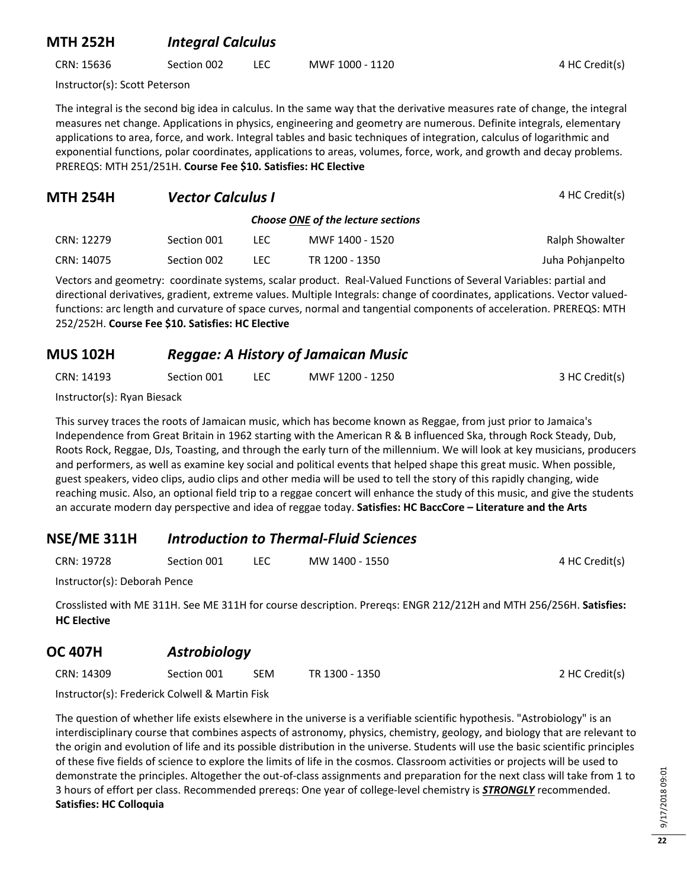#### **MTH 252H** *Integral Calculus*

CRN: 15636 Section 002 LEC MWF 1000 - 1120 4 HC Credit(s)

Instructor(s): Scott Peterson

The integral is the second big idea in calculus. In the same way that the derivative measures rate of change, the integral measures net change. Applications in physics, engineering and geometry are numerous. Definite integrals, elementary applications to area, force, and work. Integral tables and basic techniques of integration, calculus of logarithmic and exponential functions, polar coordinates, applications to areas, volumes, force, work, and growth and decay problems. PREREQS: MTH 251/251H. **Course Fee \$10. Satisfies: HC Elective**

| <b>MTH 254H</b> | <b>Vector Calculus I</b> |      | 4 HC Credit(s)                     |                  |
|-----------------|--------------------------|------|------------------------------------|------------------|
|                 |                          |      | Choose ONE of the lecture sections |                  |
| CRN: 12279      | Section 001              | LEC. | MWF 1400 - 1520                    | Ralph Showalter  |
| CRN: 14075      | Section 002              | LEC  | TR 1200 - 1350                     | Juha Pohjanpelto |

Vectors and geometry: coordinate systems, scalar product. Real-Valued Functions of Several Variables: partial and directional derivatives, gradient, extreme values. Multiple Integrals: change of coordinates, applications. Vector valuedfunctions: arc length and curvature of space curves, normal and tangential components of acceleration. PREREQS: MTH 252/252H. **Course Fee \$10. Satisfies: HC Elective**

#### **MUS 102H** *Reggae: A History of Jamaican Music*

| CRN: 14193 | Section 001 | <b>LEC</b> | MWF 1200 - 1250 | 3 HC Credit(s) |
|------------|-------------|------------|-----------------|----------------|
|            |             |            |                 |                |

Instructor(s): Ryan Biesack

This survey traces the roots of Jamaican music, which has become known as Reggae, from just prior to Jamaica's Independence from Great Britain in 1962 starting with the American R & B influenced Ska, through Rock Steady, Dub, Roots Rock, Reggae, DJs, Toasting, and through the early turn of the millennium. We will look at key musicians, producers and performers, as well as examine key social and political events that helped shape this great music. When possible, guest speakers, video clips, audio clips and other media will be used to tell the story of this rapidly changing, wide reaching music. Also, an optional field trip to a reggae concert will enhance the study of this music, and give the students an accurate modern day perspective and idea of reggae today. **Satisfies: HC BaccCore – Literature and the Arts**

## **NSE/ME 311H** *Introduction to Thermal-Fluid Sciences*

| CRN: 19728 | Section 001 |  | MW 1400 - 1550 | 4 HC Credit(s) |
|------------|-------------|--|----------------|----------------|
|------------|-------------|--|----------------|----------------|

Instructor(s): Deborah Pence

Crosslisted with ME 311H. See ME 311H for course description. Prereqs: ENGR 212/212H and MTH 256/256H. **Satisfies: HC Elective**

## **OC 407H** *Astrobiology*

CRN: 14309 Section 001 SEM TR 1300 - 1350 2 HC Credit(s)

Instructor(s): Frederick Colwell & Martin Fisk

The question of whether life exists elsewhere in the universe is a verifiable scientific hypothesis. "Astrobiology" is an interdisciplinary course that combines aspects of astronomy, physics, chemistry, geology, and biology that are relevant to the origin and evolution of life and its possible distribution in the universe. Students will use the basic scientific principles of these five fields of science to explore the limits of life in the cosmos. Classroom activities or projects will be used to demonstrate the principles. Altogether the out-of-class assignments and preparation for the next class will take from 1 to 3 hours of effort per class. Recommended prereqs: One year of college-level chemistry is *STRONGLY* recommended. **Satisfies: HC Colloquia**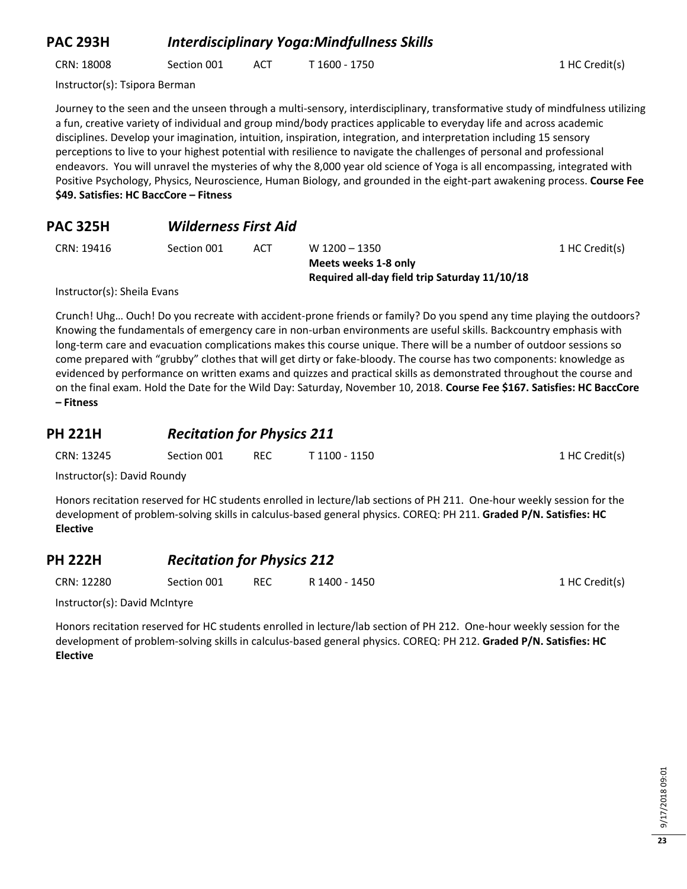#### **PAC 293H** *Interdisciplinary Yoga:Mindfullness Skills*

CRN: 18008 Section 001 ACT T 1600 - 1750 1 HC Credit(s)

Instructor(s): Tsipora Berman

Journey to the seen and the unseen through a multi-sensory, interdisciplinary, transformative study of mindfulness utilizing a fun, creative variety of individual and group mind/body practices applicable to everyday life and across academic disciplines. Develop your imagination, intuition, inspiration, integration, and interpretation including 15 sensory perceptions to live to your highest potential with resilience to navigate the challenges of personal and professional endeavors. You will unravel the mysteries of why the 8,000 year old science of Yoga is all encompassing, integrated with Positive Psychology, Physics, Neuroscience, Human Biology, and grounded in the eight-part awakening process. **Course Fee \$49. Satisfies: HC BaccCore – Fitness**

| <b>PAC 325H</b> | <b>Wilderness First Aid</b> |  |
|-----------------|-----------------------------|--|
|                 |                             |  |

|  |  | CRN: 19416 |  |
|--|--|------------|--|
|--|--|------------|--|

Section 001 ACT W 1200 – 1350 **Meets weeks 1-8 only Required all-day field trip Saturday 11/10/18** 1 HC Credit(s)

1 HC Credit(s)

Instructor(s): Sheila Evans

Crunch! Uhg… Ouch! Do you recreate with accident-prone friends or family? Do you spend any time playing the outdoors? Knowing the fundamentals of emergency care in non-urban environments are useful skills. Backcountry emphasis with long-term care and evacuation complications makes this course unique. There will be a number of outdoor sessions so come prepared with "grubby" clothes that will get dirty or fake-bloody. The course has two components: knowledge as evidenced by performance on written exams and quizzes and practical skills as demonstrated throughout the course and on the final exam. Hold the Date for the Wild Day: Saturday, November 10, 2018. **Course Fee \$167. Satisfies: HC BaccCore – Fitness**

#### **PH 221H** *Recitation for Physics 211*

| CRN: 13245 | Section 001 | <b>REC</b> | T 1100 - 1150 |
|------------|-------------|------------|---------------|
|            |             |            |               |

Instructor(s): David Roundy

Honors recitation reserved for HC students enrolled in lecture/lab sections of PH 211. One-hour weekly session for the development of problem-solving skills in calculus-based general physics. COREQ: PH 211. **Graded P/N. Satisfies: HC Elective**

## **PH 222H** *Recitation for Physics 212*

CRN: 12280 Section 001 REC R 1400 - 1450 1 HC Credit(s)

Instructor(s): David McIntyre

Honors recitation reserved for HC students enrolled in lecture/lab section of PH 212. One-hour weekly session for the development of problem-solving skills in calculus-based general physics. COREQ: PH 212. **Graded P/N. Satisfies: HC Elective**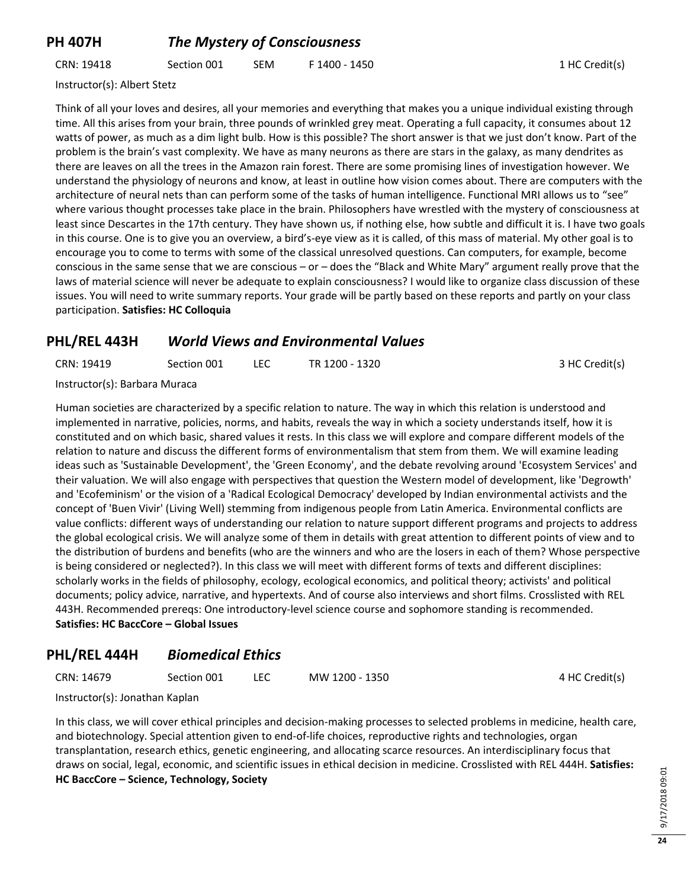## **PH 407H** *The Mystery of Consciousness*

CRN: 19418 Section 001 SEM F 1400 - 1450 1 HC Credit(s)

Instructor(s): Albert Stetz

Think of all your loves and desires, all your memories and everything that makes you a unique individual existing through time. All this arises from your brain, three pounds of wrinkled grey meat. Operating a full capacity, it consumes about 12 watts of power, as much as a dim light bulb. How is this possible? The short answer is that we just don't know. Part of the problem is the brain's vast complexity. We have as many neurons as there are stars in the galaxy, as many dendrites as there are leaves on all the trees in the Amazon rain forest. There are some promising lines of investigation however. We understand the physiology of neurons and know, at least in outline how vision comes about. There are computers with the architecture of neural nets than can perform some of the tasks of human intelligence. Functional MRI allows us to "see" where various thought processes take place in the brain. Philosophers have wrestled with the mystery of consciousness at least since Descartes in the 17th century. They have shown us, if nothing else, how subtle and difficult it is. I have two goals in this course. One is to give you an overview, a bird's-eye view as it is called, of this mass of material. My other goal is to encourage you to come to terms with some of the classical unresolved questions. Can computers, for example, become conscious in the same sense that we are conscious – or – does the "Black and White Mary" argument really prove that the laws of material science will never be adequate to explain consciousness? I would like to organize class discussion of these issues. You will need to write summary reports. Your grade will be partly based on these reports and partly on your class participation. **Satisfies: HC Colloquia**

#### **PHL/REL 443H** *World Views and Environmental Values*

| CRN: 19419 | Section 001 | TR 1200 - 1320 | 3 HC Credit(s) |
|------------|-------------|----------------|----------------|
|            |             |                |                |

Instructor(s): Barbara Muraca

Human societies are characterized by a specific relation to nature. The way in which this relation is understood and implemented in narrative, policies, norms, and habits, reveals the way in which a society understands itself, how it is constituted and on which basic, shared values it rests. In this class we will explore and compare different models of the relation to nature and discuss the different forms of environmentalism that stem from them. We will examine leading ideas such as 'Sustainable Development', the 'Green Economy', and the debate revolving around 'Ecosystem Services' and their valuation. We will also engage with perspectives that question the Western model of development, like 'Degrowth' and 'Ecofeminism' or the vision of a 'Radical Ecological Democracy' developed by Indian environmental activists and the concept of 'Buen Vivir' (Living Well) stemming from indigenous people from Latin America. Environmental conflicts are value conflicts: different ways of understanding our relation to nature support different programs and projects to address the global ecological crisis. We will analyze some of them in details with great attention to different points of view and to the distribution of burdens and benefits (who are the winners and who are the losers in each of them? Whose perspective is being considered or neglected?). In this class we will meet with different forms of texts and different disciplines: scholarly works in the fields of philosophy, ecology, ecological economics, and political theory; activists' and political documents; policy advice, narrative, and hypertexts. And of course also interviews and short films. Crosslisted with REL 443H. Recommended prereqs: One introductory-level science course and sophomore standing is recommended. **Satisfies: HC BaccCore – Global Issues**

#### **PHL/REL 444H** *Biomedical Ethics*

CRN: 14679 Section 001 LEC MW 1200 - 1350 4 HC Credit(s)

Instructor(s): Jonathan Kaplan

In this class, we will cover ethical principles and decision-making processes to selected problems in medicine, health care, and biotechnology. Special attention given to end-of-life choices, reproductive rights and technologies, organ transplantation, research ethics, genetic engineering, and allocating scarce resources. An interdisciplinary focus that draws on social, legal, economic, and scientific issues in ethical decision in medicine. Crosslisted with REL 444H. **Satisfies: HC BaccCore – Science, Technology, Society**